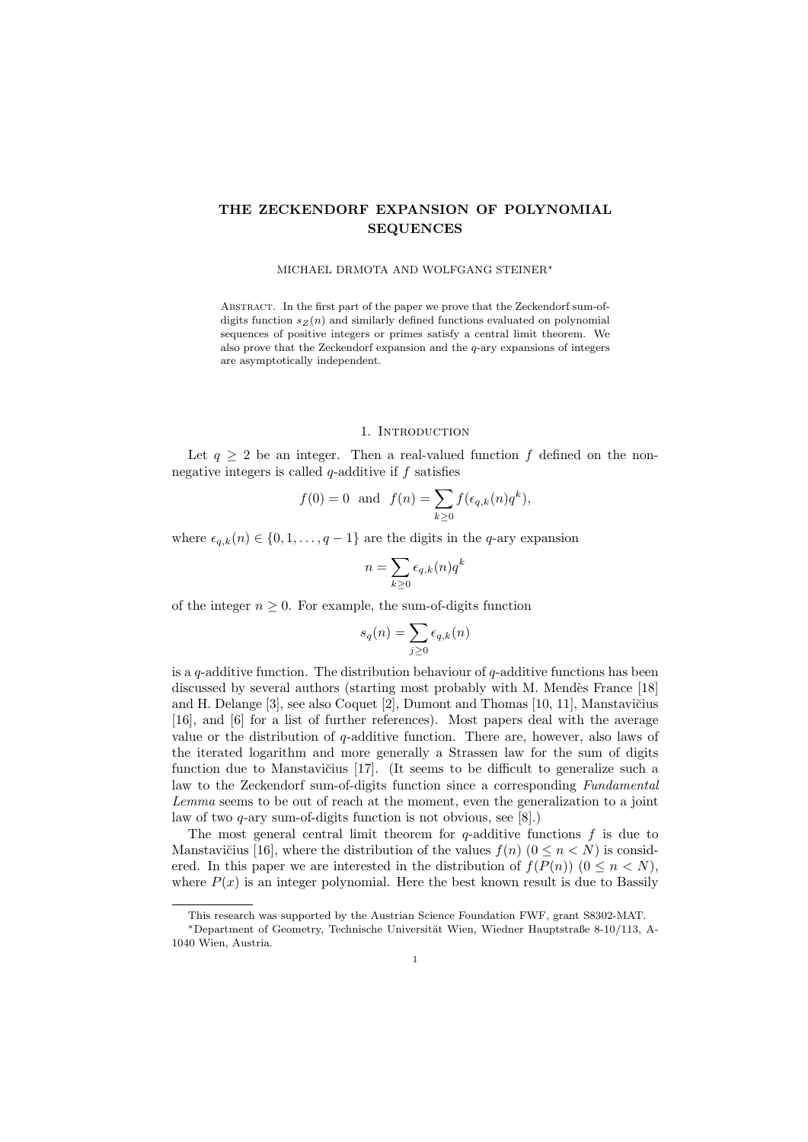# THE ZECKENDORF EXPANSION OF POLYNOMIAL SEQUENCES

#### MICHAEL DRMOTA AND WOLFGANG STEINER<sup>∗</sup>

Abstract. In the first part of the paper we prove that the Zeckendorf sum-ofdigits function  $s_Z(n)$  and similarly defined functions evaluated on polynomial sequences of positive integers or primes satisfy a central limit theorem. We also prove that the Zeckendorf expansion and the q-ary expansions of integers are asymptotically independent.

### 1. INTRODUCTION

Let  $q \geq 2$  be an integer. Then a real-valued function f defined on the nonnegative integers is called  $q$ -additive if f satisfies

$$
f(0) = 0
$$
 and  $f(n) = \sum_{k \ge 0} f(\epsilon_{q,k}(n)q^k),$ 

where  $\epsilon_{q,k}(n) \in \{0, 1, \ldots, q-1\}$  are the digits in the q-ary expansion

$$
n = \sum_{k \ge 0} \epsilon_{q,k}(n) q^k
$$

of the integer  $n \geq 0$ . For example, the sum-of-digits function

$$
s_q(n) = \sum_{j \ge 0} \epsilon_{q,k}(n)
$$

is a q-additive function. The distribution behaviour of  $q$ -additive functions has been discussed by several authors (starting most probably with M. Mendès France [18] and H. Delange  $[3]$ , see also Coquet  $[2]$ , Dumont and Thomas  $[10, 11]$ , Manstavičius [16], and [6] for a list of further references). Most papers deal with the average value or the distribution of q-additive function. There are, however, also laws of the iterated logarithm and more generally a Strassen law for the sum of digits function due to Manstavičius [17]. (It seems to be difficult to generalize such a law to the Zeckendorf sum-of-digits function since a corresponding Fundamental Lemma seems to be out of reach at the moment, even the generalization to a joint law of two q-ary sum-of-digits function is not obvious, see [8].)

The most general central limit theorem for  $q$ -additive functions  $f$  is due to Manstavičius [16], where the distribution of the values  $f(n)$  ( $0 \leq n \leq N$ ) is considered. In this paper we are interested in the distribution of  $f(P(n))$  ( $0 \leq n \leq N$ ), where  $P(x)$  is an integer polynomial. Here the best known result is due to Bassily

This research was supported by the Austrian Science Foundation FWF, grant S8302-MAT.

<sup>∗</sup>Department of Geometry, Technische Universit¨at Wien, Wiedner Hauptstraße 8-10/113, A-1040 Wien, Austria.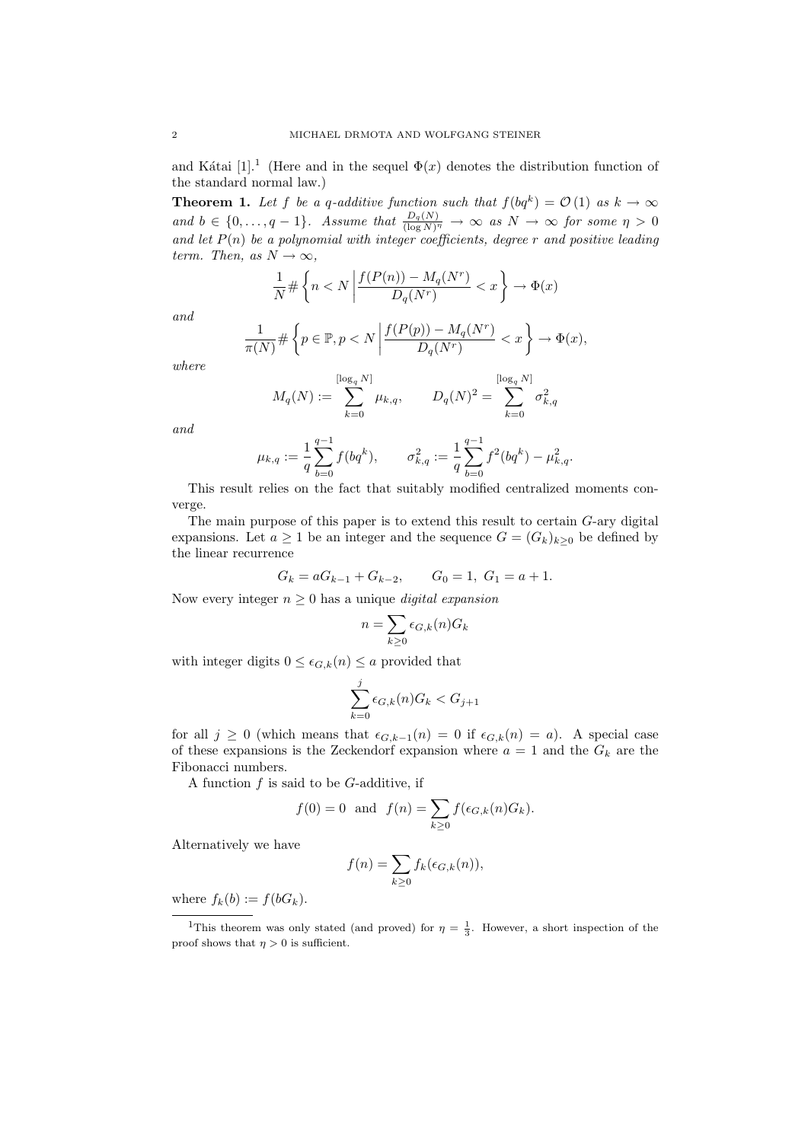and Kátai [1].<sup>1</sup> (Here and in the sequel  $\Phi(x)$  denotes the distribution function of the standard normal law.)

**Theorem 1.** Let f be a q-additive function such that  $f(bq^k) = \mathcal{O}(1)$  as  $k \to \infty$ and  $b \in \{0,\ldots,q-1\}$ . Assume that  $\frac{D_q(N)}{(\log N)^\eta} \to \infty$  as  $N \to \infty$  for some  $\eta > 0$ and let  $P(n)$  be a polynomial with integer coefficients, degree r and positive leading term. Then, as  $N \to \infty$ ,

$$
\frac{1}{N} \# \left\{ n < N \left| \frac{f(P(n)) - M_q(N^r)}{D_q(N^r)} < x \right. \right\} \to \Phi(x)
$$

and

$$
\frac{1}{\pi(N)} \# \left\{ p \in \mathbb{P}, p < N \left| \frac{f(P(p)) - M_q(N^r)}{D_q(N^r)} < x \right. \right\} \to \Phi(x),
$$

where

$$
M_q(N) := \sum_{k=0}^{\lfloor \log_q N \rfloor} \mu_{k,q}, \qquad D_q(N)^2 = \sum_{k=0}^{\lfloor \log_q N \rfloor} \sigma_{k,q}^2
$$

and

$$
\mu_{k,q}:=\frac{1}{q}\sum_{b=0}^{q-1}f(bq^k),\qquad \sigma_{k,q}^2:=\frac{1}{q}\sum_{b=0}^{q-1}f^2(bq^k)-\mu_{k,q}^2.
$$

This result relies on the fact that suitably modified centralized moments converge.

The main purpose of this paper is to extend this result to certain G-ary digital expansions. Let  $a \geq 1$  be an integer and the sequence  $G = (G_k)_{k \geq 0}$  be defined by the linear recurrence

$$
G_k = aG_{k-1} + G_{k-2}, \qquad G_0 = 1, G_1 = a+1.
$$

Now every integer  $n \geq 0$  has a unique *digital expansion* 

$$
n = \sum_{k \ge 0} \epsilon_{G,k}(n) G_k
$$

with integer digits  $0 \leq \epsilon_{G,k}(n) \leq a$  provided that

$$
\sum_{k=0}^{j} \epsilon_{G,k}(n) G_k < G_{j+1}
$$

for all  $j \geq 0$  (which means that  $\epsilon_{G,k-1}(n) = 0$  if  $\epsilon_{G,k}(n) = a$ ). A special case of these expansions is the Zeckendorf expansion where  $a = 1$  and the  $G_k$  are the Fibonacci numbers.

A function  $f$  is said to be  $G$ -additive, if

$$
f(0) = 0
$$
 and  $f(n) = \sum_{k \ge 0} f(\epsilon_{G,k}(n)G_k).$ 

Alternatively we have

$$
f(n) = \sum_{k \ge 0} f_k(\epsilon_{G,k}(n)),
$$

where  $f_k(b) := f(bG_k)$ .

<sup>&</sup>lt;sup>1</sup>This theorem was only stated (and proved) for  $\eta = \frac{1}{3}$ . However, a short inspection of the proof shows that  $\eta > 0$  is sufficient.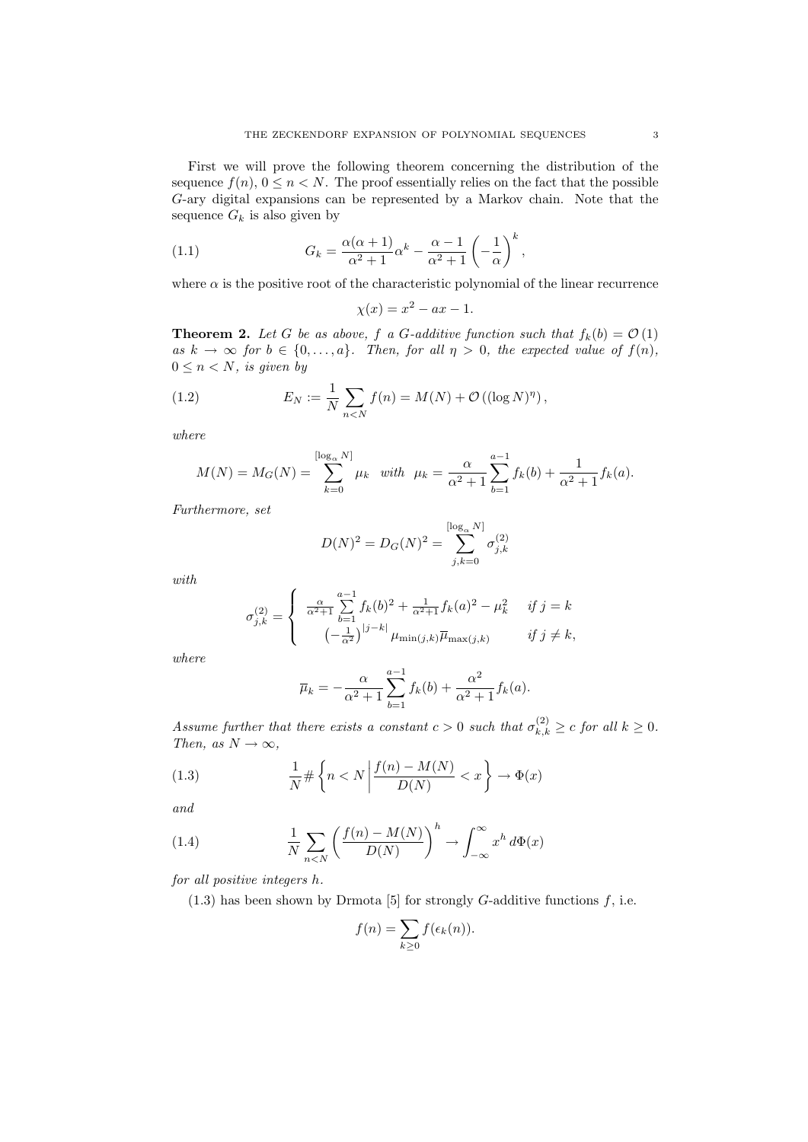First we will prove the following theorem concerning the distribution of the sequence  $f(n)$ ,  $0 \leq n < N$ . The proof essentially relies on the fact that the possible G-ary digital expansions can be represented by a Markov chain. Note that the sequence  $G_k$  is also given by

(1.1) 
$$
G_k = \frac{\alpha(\alpha+1)}{\alpha^2+1} \alpha^k - \frac{\alpha-1}{\alpha^2+1} \left(-\frac{1}{\alpha}\right)^k,
$$

where  $\alpha$  is the positive root of the characteristic polynomial of the linear recurrence

$$
\chi(x) = x^2 - ax - 1.
$$

**Theorem 2.** Let G be as above, f a G-additive function such that  $f_k(b) = \mathcal{O}(1)$ as  $k \to \infty$  for  $b \in \{0, \ldots, a\}$ . Then, for all  $\eta > 0$ , the expected value of  $f(n)$ ,  $0 \leq n < N$ , is given by

(1.2) 
$$
E_N := \frac{1}{N} \sum_{n < N} f(n) = M(N) + \mathcal{O}\left((\log N)^{\eta}\right),
$$

where

$$
M(N) = M_G(N) = \sum_{k=0}^{\lfloor \log_{\alpha} N \rfloor} \mu_k \quad \text{with} \quad \mu_k = \frac{\alpha}{\alpha^2 + 1} \sum_{b=1}^{a-1} f_k(b) + \frac{1}{\alpha^2 + 1} f_k(a).
$$

Furthermore, set

$$
D(N)^{2} = D_{G}(N)^{2} = \sum_{j,k=0}^{\lfloor \log_{\alpha} N \rfloor} \sigma_{j,k}^{(2)}
$$

with

$$
\sigma_{j,k}^{(2)} = \begin{cases}\n\frac{\alpha}{\alpha^2 + 1} \sum_{b=1}^{a-1} f_k(b)^2 + \frac{1}{\alpha^2 + 1} f_k(a)^2 - \mu_k^2 & \text{if } j = k \\
(-\frac{1}{\alpha^2})^{|j - k|} \mu_{\min(j,k)} \overline{\mu}_{\max(j,k)} & \text{if } j \neq k,\n\end{cases}
$$

where

$$
\overline{\mu}_k = -\frac{\alpha}{\alpha^2 + 1} \sum_{b=1}^{a-1} f_k(b) + \frac{\alpha^2}{\alpha^2 + 1} f_k(a).
$$

Assume further that there exists a constant  $c > 0$  such that  $\sigma_{k,k}^{(2)} \geq c$  for all  $k \geq 0$ . Then, as  $N \to \infty$ ,

(1.3) 
$$
\frac{1}{N} \# \left\{ n < N \left| \frac{f(n) - M(N)}{D(N)} < x \right. \right\} \to \Phi(x)
$$

and

(1.4) 
$$
\frac{1}{N} \sum_{n < N} \left( \frac{f(n) - M(N)}{D(N)} \right)^h \to \int_{-\infty}^{\infty} x^h \, d\Phi(x)
$$

for all positive integers h.

 $(1.3)$  has been shown by Drmota [5] for strongly G-additive functions f, i.e.

$$
f(n) = \sum_{k \ge 0} f(\epsilon_k(n)).
$$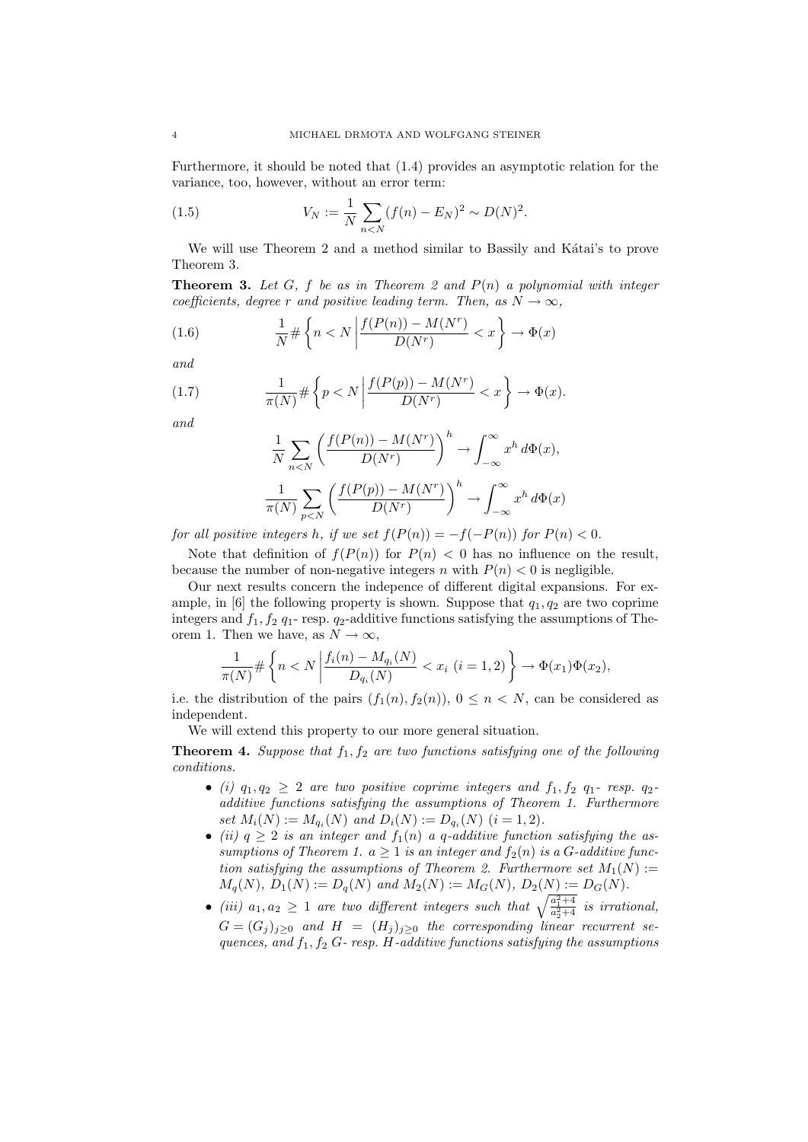Furthermore, it should be noted that (1.4) provides an asymptotic relation for the variance, too, however, without an error term:

(1.5) 
$$
V_N := \frac{1}{N} \sum_{n < N} (f(n) - E_N)^2 \sim D(N)^2.
$$

We will use Theorem 2 and a method similar to Bassily and Kátai's to prove Theorem 3.

**Theorem 3.** Let G, f be as in Theorem 2 and  $P(n)$  a polynomial with integer coefficients, degree r and positive leading term. Then, as  $N \to \infty$ ,

(1.6) 
$$
\frac{1}{N} \# \left\{ n < N \left| \frac{f(P(n)) - M(N^r)}{D(N^r)} < x \right. \right\} \to \Phi(x)
$$

and

(1.7) 
$$
\frac{1}{\pi(N)} \# \left\{ p < N \left| \frac{f(P(p)) - M(N^r)}{D(N^r)} < x \right. \right\} \to \Phi(x).
$$

and

$$
\frac{1}{N} \sum_{n < N} \left( \frac{f(P(n)) - M(N^r)}{D(N^r)} \right)^h \to \int_{-\infty}^{\infty} x^h \, d\Phi(x),
$$
\n
$$
\frac{1}{\pi(N)} \sum_{p < N} \left( \frac{f(P(p)) - M(N^r)}{D(N^r)} \right)^h \to \int_{-\infty}^{\infty} x^h \, d\Phi(x)
$$

for all positive integers h, if we set  $f(P(n)) = -f(-P(n))$  for  $P(n) < 0$ .

Note that definition of  $f(P(n))$  for  $P(n) < 0$  has no influence on the result, because the number of non-negative integers n with  $P(n) < 0$  is negligible.

Our next results concern the indepence of different digital expansions. For example, in [6] the following property is shown. Suppose that  $q_1, q_2$  are two coprime integers and  $f_1, f_2, g_1$ - resp.  $g_2$ -additive functions satisfying the assumptions of Theorem 1. Then we have, as  $N \to \infty$ ,

$$
\frac{1}{\pi(N)} \# \left\{ n < N \left| \frac{f_i(n) - M_{q_i}(N)}{D_{q_i}(N)} < x_i \ (i = 1, 2) \right. \right\} \to \Phi(x_1) \Phi(x_2),
$$

i.e. the distribution of the pairs  $(f_1(n), f_2(n)), 0 \le n \le N$ , can be considered as independent.

We will extend this property to our more general situation.

**Theorem 4.** Suppose that  $f_1, f_2$  are two functions satisfying one of the following conditions.

- (i)  $q_1, q_2 \geq 2$  are two positive coprime integers and  $f_1, f_2$   $q_1$  resp.  $q_2$ additive functions satisfying the assumptions of Theorem 1. Furthermore set  $M_i(N) := M_{q_i}(N)$  and  $D_i(N) := D_{q_i}(N)$   $(i = 1, 2)$ .
- (ii)  $q \geq 2$  is an integer and  $f_1(n)$  a q-additive function satisfying the assumptions of Theorem 1.  $a \geq 1$  is an integer and  $f_2(n)$  is a G-additive function satisfying the assumptions of Theorem 2. Furthermore set  $M_1(N)$  :=  $M_q(N), D_1(N) := D_q(N)$  and  $M_2(N) := M_G(N), D_2(N) := D_G(N)$ .
- (iii)  $a_1, a_2 \geq 1$  are two different integers such that  $\sqrt{\frac{a_1^2+4}{a_2^2+4}}$  is irrational,  $G = (G_i)_{i>0}$  and  $H = (H_i)_{i>0}$  the corresponding linear recurrent sequences, and  $f_1, f_2$  G- resp. H-additive functions satisfying the assumptions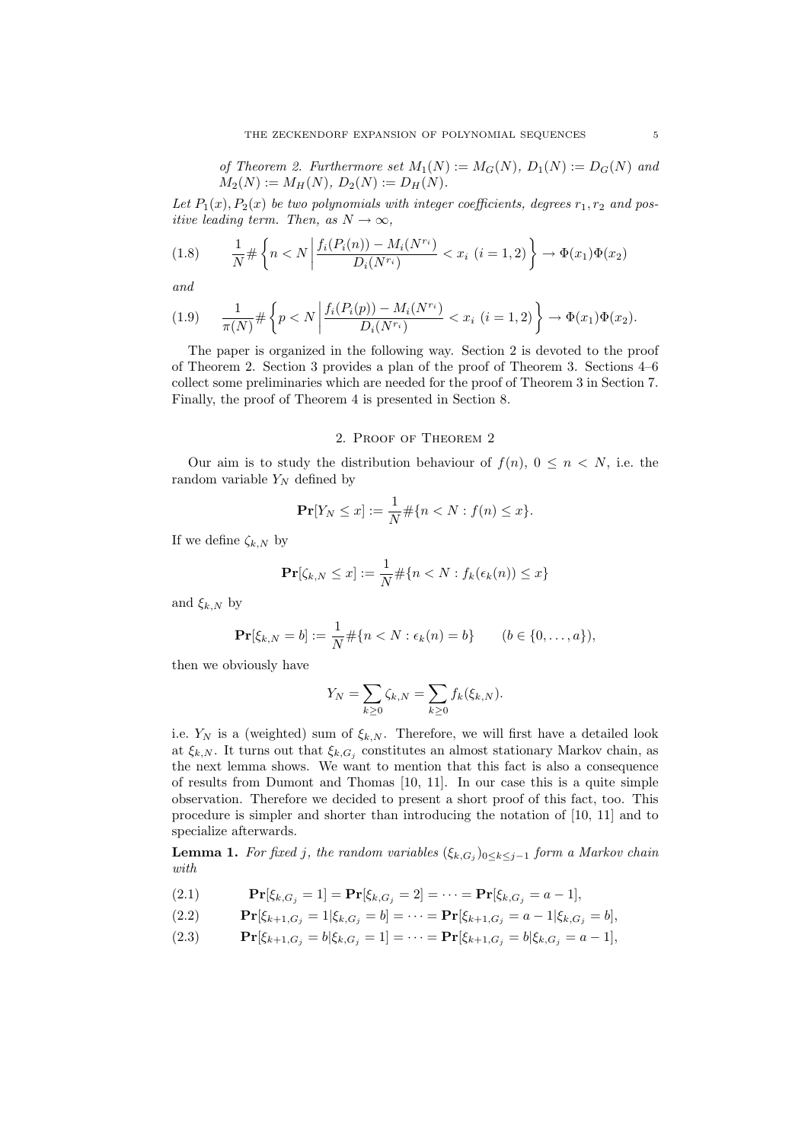of Theorem 2. Furthermore set  $M_1(N) := M_G(N)$ ,  $D_1(N) := D_G(N)$  and  $M_2(N) := M_H(N), D_2(N) := D_H(N).$ 

Let  $P_1(x), P_2(x)$  be two polynomials with integer coefficients, degrees  $r_1, r_2$  and positive leading term. Then, as  $N \to \infty$ ,

$$
(1.8) \qquad \frac{1}{N} \# \left\{ n < N \left| \frac{f_i(P_i(n)) - M_i(N^{r_i})}{D_i(N^{r_i})} < x_i \ (i = 1, 2) \right. \right\} \to \Phi(x_1) \Phi(x_2)
$$

and

$$
(1.9) \qquad \frac{1}{\pi(N)} \# \left\{ p < N \left| \frac{f_i(P_i(p)) - M_i(N^{r_i})}{D_i(N^{r_i})} < x_i \ (i = 1, 2) \right. \right\} \to \Phi(x_1) \Phi(x_2).
$$

The paper is organized in the following way. Section 2 is devoted to the proof of Theorem 2. Section 3 provides a plan of the proof of Theorem 3. Sections 4–6 collect some preliminaries which are needed for the proof of Theorem 3 in Section 7. Finally, the proof of Theorem 4 is presented in Section 8.

### 2. Proof of Theorem 2

Our aim is to study the distribution behaviour of  $f(n)$ ,  $0 \leq n \leq N$ , i.e. the random variable  $Y_N$  defined by

$$
\Pr[Y_N \le x] := \frac{1}{N} \# \{ n < N : f(n) \le x \}.
$$

If we define  $\zeta_{k,N}$  by

$$
\mathbf{Pr}[\zeta_{k,N} \leq x] := \frac{1}{N} \# \{ n < N : f_k(\epsilon_k(n)) \leq x \}
$$

and  $\xi_{k,N}$  by

$$
\Pr[\xi_{k,N} = b] := \frac{1}{N} \# \{ n < N : \epsilon_k(n) = b \} \qquad (b \in \{0, \dots, a\}),
$$

then we obviously have

$$
Y_N = \sum_{k\geq 0} \zeta_{k,N} = \sum_{k\geq 0} f_k(\xi_{k,N}).
$$

i.e.  $Y_N$  is a (weighted) sum of  $\xi_{k,N}$ . Therefore, we will first have a detailed look at  $\xi_{k,N}$ . It turns out that  $\xi_{k,G_j}$  constitutes an almost stationary Markov chain, as the next lemma shows. We want to mention that this fact is also a consequence of results from Dumont and Thomas [10, 11]. In our case this is a quite simple observation. Therefore we decided to present a short proof of this fact, too. This procedure is simpler and shorter than introducing the notation of [10, 11] and to specialize afterwards.

**Lemma 1.** For fixed j, the random variables  $(\xi_{k,G_j})_{0 \leq k \leq j-1}$  form a Markov chain with

(2.1)  $\mathbf{Pr}[\xi_{k,G_i} = 1] = \mathbf{Pr}[\xi_{k,G_i} = 2] = \cdots = \mathbf{Pr}[\xi_{k,G_i} = a-1],$ 

(2.2) 
$$
\mathbf{Pr}[\xi_{k+1,G_j} = 1 | \xi_{k,G_j} = b] = \cdots = \mathbf{Pr}[\xi_{k+1,G_j} = a-1 | \xi_{k,G_j} = b],
$$

(2.3) 
$$
\mathbf{Pr}[\xi_{k+1,G_j} = b | \xi_{k,G_j} = 1] = \cdots = \mathbf{Pr}[\xi_{k+1,G_j} = b | \xi_{k,G_j} = a-1],
$$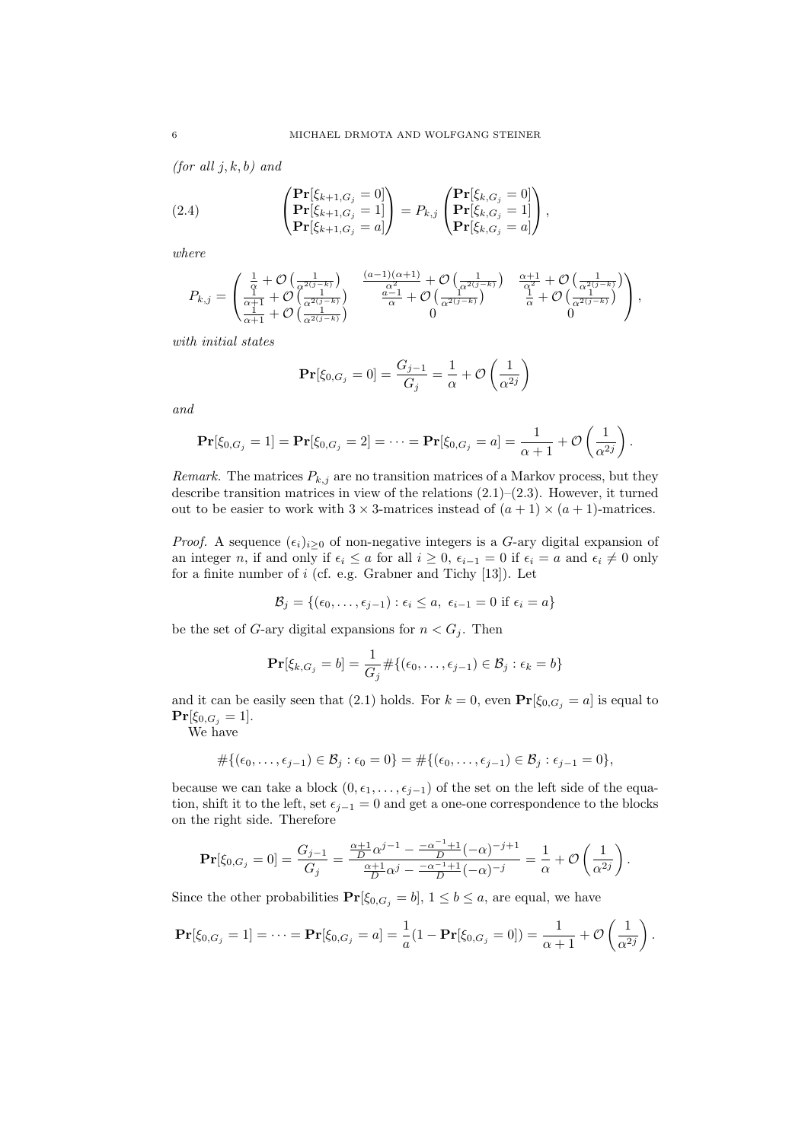(for all  $j, k, b$ ) and

(2.4) 
$$
\begin{pmatrix} \mathbf{Pr}[\xi_{k+1,G_j}=0] \\ \mathbf{Pr}[\xi_{k+1,G_j}=1] \\ \mathbf{Pr}[\xi_{k+1,G_j}=a] \end{pmatrix} = P_{k,j} \begin{pmatrix} \mathbf{Pr}[\xi_{k,G_j}=0] \\ \mathbf{Pr}[\xi_{k,G_j}=1] \\ \mathbf{Pr}[\xi_{k,G_j}=a] \end{pmatrix},
$$

where

$$
P_{k,j} = \begin{pmatrix} \frac{1}{\alpha} + \mathcal{O}\left(\frac{1}{\alpha^{2(j-k)}}\right) & \frac{(a-1)(\alpha+1)}{\alpha^2} + \mathcal{O}\left(\frac{1}{\alpha^{2(j-k)}}\right) & \frac{\alpha+1}{\alpha^2} + \mathcal{O}\left(\frac{1}{\alpha^{2(j-k)}}\right) \\ \frac{\alpha+1}{\alpha+1} + \mathcal{O}\left(\frac{1}{\alpha^{2(j-k)}}\right) & \frac{a-1}{\alpha} + \mathcal{O}\left(\frac{1}{\alpha^{2(j-k)}}\right) & \frac{1}{\alpha} + \mathcal{O}\left(\frac{1}{\alpha^{2(j-k)}}\right) \\ 0 & 0 \end{pmatrix},
$$

with initial states

$$
\Pr[\xi_{0,G_j} = 0] = \frac{G_{j-1}}{G_j} = \frac{1}{\alpha} + \mathcal{O}\left(\frac{1}{\alpha^{2j}}\right)
$$

and

$$
\Pr[\xi_{0,G_j} = 1] = \Pr[\xi_{0,G_j} = 2] = \cdots = \Pr[\xi_{0,G_j} = a] = \frac{1}{\alpha+1} + \mathcal{O}\left(\frac{1}{\alpha^{2j}}\right).
$$

Remark. The matrices  $P_{k,j}$  are no transition matrices of a Markov process, but they describe transition matrices in view of the relations  $(2.1)$ – $(2.3)$ . However, it turned out to be easier to work with  $3 \times 3$ -matrices instead of  $(a + 1) \times (a + 1)$ -matrices.

*Proof.* A sequence  $(\epsilon_i)_{i>0}$  of non-negative integers is a G-ary digital expansion of an integer n, if and only if  $\epsilon_i \leq a$  for all  $i \geq 0$ ,  $\epsilon_{i-1} = 0$  if  $\epsilon_i = a$  and  $\epsilon_i \neq 0$  only for a finite number of  $i$  (cf. e.g. Grabner and Tichy [13]). Let

$$
\mathcal{B}_j = \{(\epsilon_0, \ldots, \epsilon_{j-1}) : \epsilon_i \le a, \ \epsilon_{i-1} = 0 \text{ if } \epsilon_i = a\}
$$

be the set of G-ary digital expansions for  $n < G_j$ . Then

$$
\mathbf{Pr}[\xi_{k,G_j} = b] = \frac{1}{G_j} \# \{ (\epsilon_0, \dots, \epsilon_{j-1}) \in \mathcal{B}_j : \epsilon_k = b \}
$$

and it can be easily seen that (2.1) holds. For  $k = 0$ , even  $\Pr[\xi_{0,G_j} = a]$  is equal to  $Pr[\xi_{0,G_j} = 1].$ 

We have

$$
\#\{(\epsilon_0,\ldots,\epsilon_{j-1})\in\mathcal{B}_j:\epsilon_0=0\}=\#\{(\epsilon_0,\ldots,\epsilon_{j-1})\in\mathcal{B}_j:\epsilon_{j-1}=0\},
$$

because we can take a block  $(0, \epsilon_1, \ldots, \epsilon_{j-1})$  of the set on the left side of the equation, shift it to the left, set  $\epsilon_{j-1} = 0$  and get a one-one correspondence to the blocks on the right side. Therefore

$$
\mathbf{Pr}[\xi_{0,G_j} = 0] = \frac{G_{j-1}}{G_j} = \frac{\frac{\alpha+1}{D}\alpha^{j-1} - \frac{-\alpha^{-1}+1}{D}(-\alpha)^{-j+1}}{\frac{\alpha+1}{D}\alpha^j - \frac{-\alpha^{-1}+1}{D}(-\alpha)^{-j}} = \frac{1}{\alpha} + \mathcal{O}\left(\frac{1}{\alpha^{2j}}\right).
$$

Since the other probabilities  $Pr[\xi_{0,G_j} = b], 1 \leq b \leq a$ , are equal, we have

$$
\Pr[\xi_{0,G_j} = 1] = \cdots = \Pr[\xi_{0,G_j} = a] = \frac{1}{a}(1 - \Pr[\xi_{0,G_j} = 0]) = \frac{1}{\alpha + 1} + \mathcal{O}\left(\frac{1}{\alpha^{2j}}\right).
$$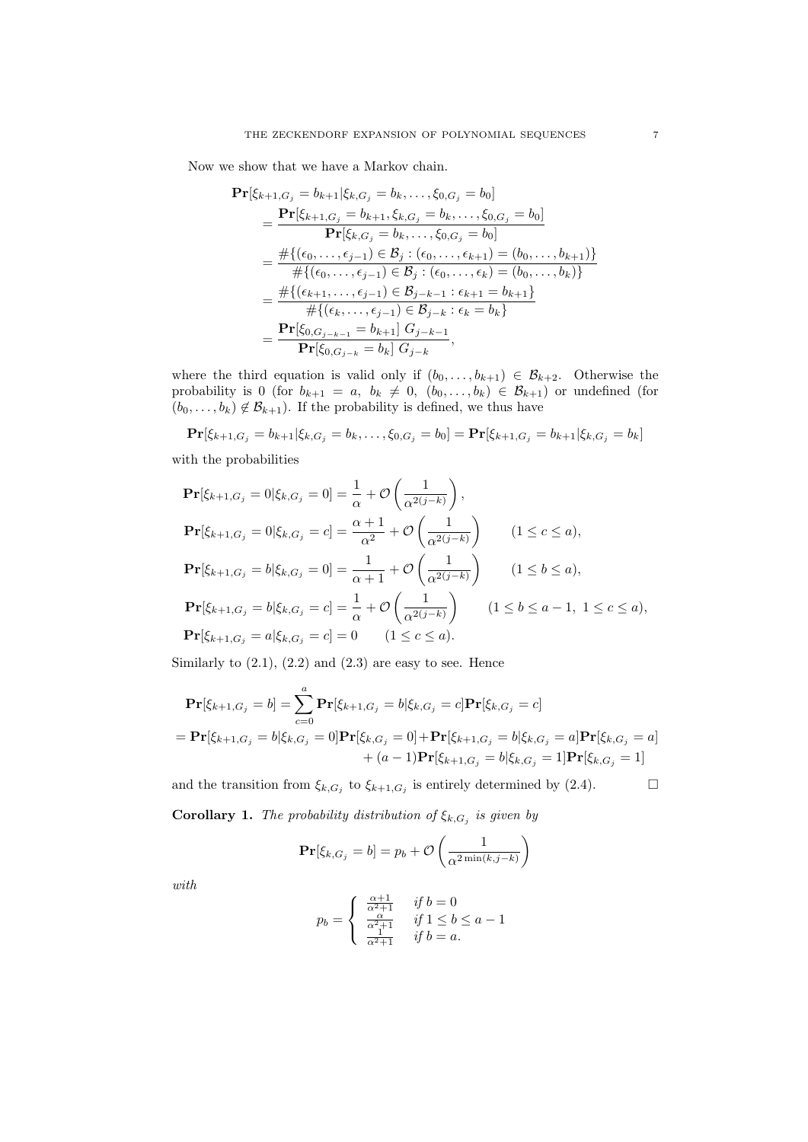Now we show that we have a Markov chain.

$$
\begin{split} \mathbf{Pr}[\xi_{k+1,G_j} &= b_{k+1} | \xi_{k,G_j} = b_k, \dots, \xi_{0,G_j} = b_0] \\ &= \frac{\mathbf{Pr}[\xi_{k+1,G_j} = b_{k+1}, \xi_{k,G_j} = b_k, \dots, \xi_{0,G_j} = b_0]}{\mathbf{Pr}[\xi_{k,G_j} = b_k, \dots, \xi_{0,G_j} = b_0]} \\ &= \frac{\# \{ (\epsilon_0, \dots, \epsilon_{j-1}) \in \mathcal{B}_j : (\epsilon_0, \dots, \epsilon_{k+1}) = (b_0, \dots, b_{k+1}) \}}{\# \{ (\epsilon_0, \dots, \epsilon_{j-1}) \in \mathcal{B}_j : (\epsilon_0, \dots, \epsilon_k) = (b_0, \dots, b_k) \}} \\ &= \frac{\# \{ (\epsilon_{k+1}, \dots, \epsilon_{j-1}) \in \mathcal{B}_{j-k-1} : \epsilon_{k+1} = b_{k+1} \}}{\# \{ (\epsilon_k, \dots, \epsilon_{j-1}) \in \mathcal{B}_{j-k} : \epsilon_k = b_k \}} \\ &= \frac{\mathbf{Pr}[\xi_{0,G_{j-k-1}} = b_{k+1}] \ G_{j-k-1}}{\mathbf{Pr}[\xi_{0,G_{j-k}} = b_k] \ G_{j-k}}, \end{split}
$$

where the third equation is valid only if  $(b_0, \ldots, b_{k+1}) \in \mathcal{B}_{k+2}$ . Otherwise the probability is 0 (for  $b_{k+1} = a, b_k \neq 0, (b_0, \ldots, b_k) \in \mathcal{B}_{k+1}$ ) or undefined (for  $(b_0, \ldots, b_k) \notin \mathcal{B}_{k+1}$ . If the probability is defined, we thus have

$$
\mathbf{Pr}[\xi_{k+1,G_j} = b_{k+1} | \xi_{k,G_j} = b_k, \dots, \xi_{0,G_j} = b_0] = \mathbf{Pr}[\xi_{k+1,G_j} = b_{k+1} | \xi_{k,G_j} = b_k]
$$

with the probabilities

$$
\begin{aligned}\n\mathbf{Pr}[\xi_{k+1,G_j} = 0 | \xi_{k,G_j} = 0] &= \frac{1}{\alpha} + \mathcal{O}\left(\frac{1}{\alpha^{2(j-k)}}\right), \\
\mathbf{Pr}[\xi_{k+1,G_j} = 0 | \xi_{k,G_j} = c] &= \frac{\alpha + 1}{\alpha^2} + \mathcal{O}\left(\frac{1}{\alpha^{2(j-k)}}\right) \qquad (1 \le c \le a), \\
\mathbf{Pr}[\xi_{k+1,G_j} = b | \xi_{k,G_j} = 0] &= \frac{1}{\alpha + 1} + \mathcal{O}\left(\frac{1}{\alpha^{2(j-k)}}\right) \qquad (1 \le b \le a), \\
\mathbf{Pr}[\xi_{k+1,G_j} = b | \xi_{k,G_j} = c] &= \frac{1}{\alpha} + \mathcal{O}\left(\frac{1}{\alpha^{2(j-k)}}\right) \qquad (1 \le b \le a - 1, \ 1 \le c \le a), \\
\mathbf{Pr}[\xi_{k+1,G_j} = a | \xi_{k,G_j} = c] &= 0 \qquad (1 \le c \le a).\n\end{aligned}
$$

Similarly to  $(2.1)$ ,  $(2.2)$  and  $(2.3)$  are easy to see. Hence

$$
\begin{aligned} \mathbf{Pr}[\xi_{k+1,G_j} = b] &= \sum_{c=0}^{a} \mathbf{Pr}[\xi_{k+1,G_j} = b | \xi_{k,G_j} = c] \mathbf{Pr}[\xi_{k,G_j} = c] \\ &= \mathbf{Pr}[\xi_{k+1,G_j} = b | \xi_{k,G_j} = 0] \mathbf{Pr}[\xi_{k,G_j} = 0] + \mathbf{Pr}[\xi_{k+1,G_j} = b | \xi_{k,G_j} = a] \mathbf{Pr}[\xi_{k,G_j} = a] \\ &\quad + (a-1) \mathbf{Pr}[\xi_{k+1,G_j} = b | \xi_{k,G_j} = 1] \mathbf{Pr}[\xi_{k,G_j} = 1] \end{aligned}
$$

and the transition from  $\xi_{k,G_j}$  to  $\xi_{k+1,G_j}$  is entirely determined by (2.4).

**Corollary 1.** The probability distribution of  $\xi_{k,G_j}$  is given by

$$
\mathbf{Pr}[\xi_{k,G_j} = b] = p_b + \mathcal{O}\left(\frac{1}{\alpha^{2\min(k,j-k)}}\right)
$$

with

$$
p_b = \begin{cases} \begin{array}{c} \frac{\alpha+1}{\alpha^2+1} & \text{if } b = 0\\ \frac{\alpha}{\alpha^2+1} & \text{if } 1 \le b \le a-1\\ \frac{1}{\alpha^2+1} & \text{if } b = a. \end{array} \end{cases}
$$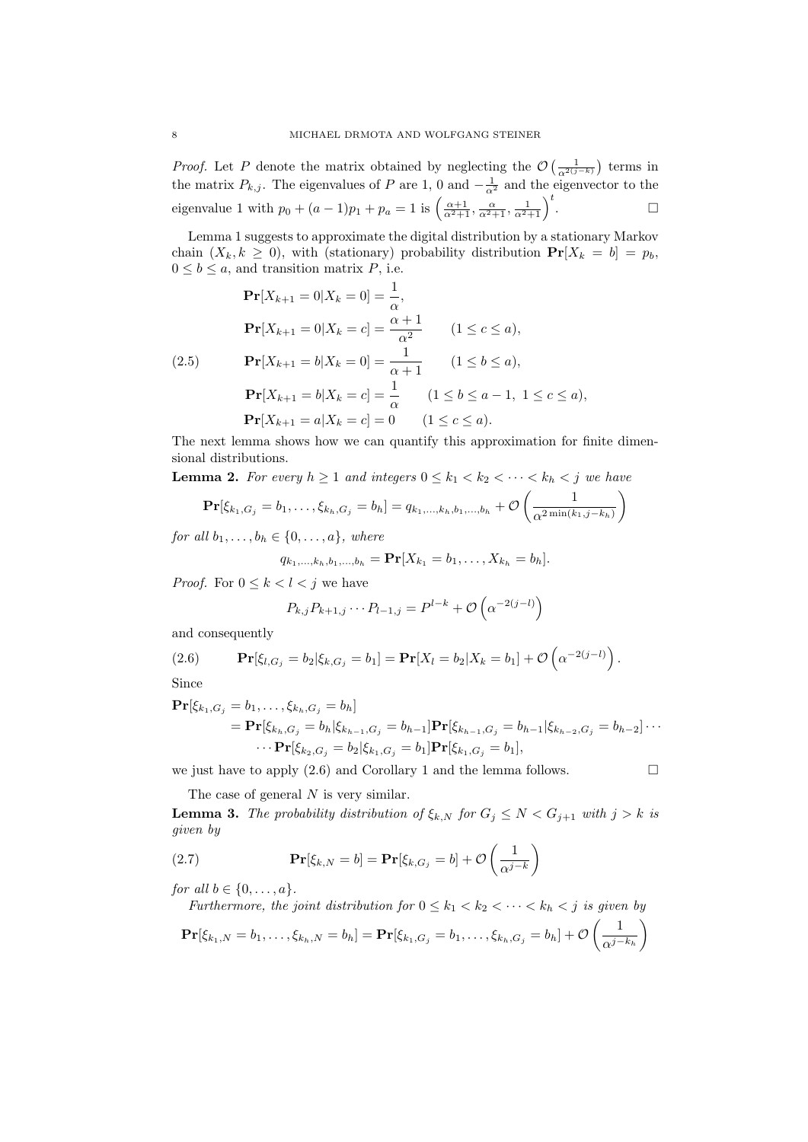*Proof.* Let P denote the matrix obtained by neglecting the  $\mathcal{O}\left(\frac{1}{\alpha^{2(j-k)}}\right)$  terms in the matrix  $P_{k,j}$ . The eigenvalues of P are 1, 0 and  $-\frac{1}{\alpha^2}$  and the eigenvector to the eigenvalue 1 with  $p_0 + (a-1)p_1 + p_a = 1$  is  $\left(\frac{\alpha+1}{\alpha^2+1}, \frac{\alpha}{\alpha^2+1}, \frac{1}{\alpha^2+1}\right)^t$ . — Первый проста проста проста проста проста проста проста проста проста проста проста проста проста проста п<br>В 1990 году стала проста проста проста проста проста проста проста проста проста проста проста проста проста п

Lemma 1 suggests to approximate the digital distribution by a stationary Markov chain  $(X_k, k \geq 0)$ , with (stationary) probability distribution  $\Pr[X_k = b] = p_b$ ,  $0 \leq b \leq a$ , and transition matrix P, i.e.

$$
\begin{aligned}\n\mathbf{Pr}[X_{k+1} = 0 | X_k = 0] &= \frac{1}{\alpha}, \\
\mathbf{Pr}[X_{k+1} = 0 | X_k = c] &= \frac{\alpha + 1}{\alpha^2} \qquad (1 \le c \le a), \\
\mathbf{Pr}[X_{k+1} = b | X_k = 0] &= \frac{1}{\alpha + 1} \qquad (1 \le b \le a), \\
\mathbf{Pr}[X_{k+1} = b | X_k = c] &= \frac{1}{\alpha} \qquad (1 \le b \le a - 1, \ 1 \le c \le a), \\
\mathbf{Pr}[X_{k+1} = a | X_k = c] &= 0 \qquad (1 \le c \le a).\n\end{aligned}
$$

The next lemma shows how we can quantify this approximation for finite dimensional distributions.

**Lemma 2.** For every  $h \geq 1$  and integers  $0 \leq k_1 < k_2 < \cdots < k_h < j$  we have

$$
\mathbf{Pr}[\xi_{k_1,G_j} = b_1,\ldots,\xi_{k_h,G_j} = b_h] = q_{k_1,\ldots,k_h,b_1,\ldots,b_h} + \mathcal{O}\left(\frac{1}{\alpha^{2\min(k_1,j-k_h)}}\right)
$$

for all  $b_1, \ldots, b_h \in \{0, \ldots, a\}$ , where

$$
q_{k_1,\ldots,k_h,b_1,\ldots,b_h} = \mathbf{Pr}[X_{k_1} = b_1,\ldots,X_{k_h} = b_h].
$$

*Proof.* For  $0 \leq k \leq l \leq j$  we have

$$
P_{k,j}P_{k+1,j}\cdots P_{l-1,j} = P^{l-k} + \mathcal{O}\left(\alpha^{-2(j-l)}\right)
$$

and consequently

(2.6) 
$$
\mathbf{Pr}[\xi_{l,G_j} = b_2 | \xi_{k,G_j} = b_1] = \mathbf{Pr}[X_l = b_2 | X_k = b_1] + \mathcal{O}\left(\alpha^{-2(j-l)}\right).
$$

Since

$$
\begin{aligned} \mathbf{Pr}[\xi_{k_1,G_j} &= b_1,\ldots,\xi_{k_h,G_j} = b_h] \\ &= \mathbf{Pr}[\xi_{k_h,G_j} = b_h | \xi_{k_{h-1},G_j} = b_{h-1}] \mathbf{Pr}[\xi_{k_{h-1},G_j} = b_{h-1} | \xi_{k_{h-2},G_j} = b_{h-2}] \cdots \\ & \cdots \mathbf{Pr}[\xi_{k_2,G_j} = b_2 | \xi_{k_1,G_j} = b_1] \mathbf{Pr}[\xi_{k_1,G_j} = b_1], \end{aligned}
$$

we just have to apply  $(2.6)$  and Corollary 1 and the lemma follows.

The case of general N is very similar.

**Lemma 3.** The probability distribution of  $\xi_{k,N}$  for  $G_j \leq N < G_{j+1}$  with  $j > k$  is given by

(2.7) 
$$
\mathbf{Pr}[\xi_{k,N} = b] = \mathbf{Pr}[\xi_{k,G_j} = b] + \mathcal{O}\left(\frac{1}{\alpha^{j-k}}\right)
$$

for all  $b \in \{0, \ldots, a\}.$ 

Furthermore, the joint distribution for  $0 \leq k_1 < k_2 < \cdots < k_h < j$  is given by  $\mathbf{Pr}[\xi_{k_1,N}=b_1,\ldots,\xi_{k_h,N}=b_h]=\mathbf{Pr}[\xi_{k_1,G_j}=b_1,\ldots,\xi_{k_h,G_j}=b_h]+\mathcal{O}\left(\frac{1}{\gamma_{k_1,\ldots,k_h}}\right)$  $\alpha^{j-k_h}$  $\setminus$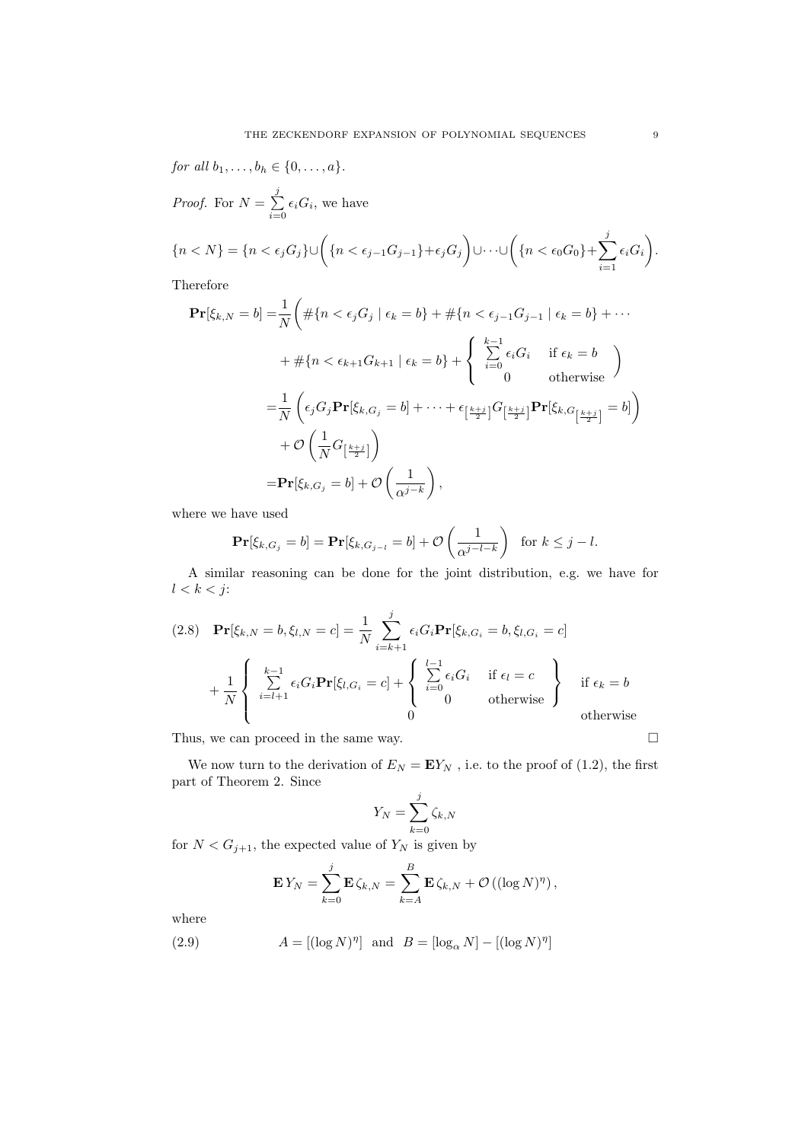for all  $b_1, ..., b_h \in \{0, ..., a\}.$ 

*Proof.* For  $N = \sum_{i=1}^{j}$  $\sum_{i=0} \epsilon_i G_i$ , we have

$$
\{n < N\} = \{n < \epsilon_j G_j\} \cup \left(\{n < \epsilon_{j-1} G_{j-1}\} + \epsilon_j G_j\right) \cup \cdots \cup \left(\{n < \epsilon_0 G_0\} + \sum_{i=1}^j \epsilon_i G_i\right).
$$

Therefore

$$
\mathbf{Pr}[\xi_{k,N} = b] = \frac{1}{N} \left( \# \{ n < \epsilon_j G_j \mid \epsilon_k = b \} + \# \{ n < \epsilon_{j-1} G_{j-1} \mid \epsilon_k = b \} + \cdots \right. \\
 \left. + \# \{ n < \epsilon_{k+1} G_{k+1} \mid \epsilon_k = b \} + \begin{cases} \sum_{i=0}^{k-1} \epsilon_i G_i & \text{if } \epsilon_k = b \\ 0 & \text{otherwise} \end{cases} \right)
$$
\n
$$
= \frac{1}{N} \left( \epsilon_j G_j \mathbf{Pr}[\xi_{k,G_j} = b] + \cdots + \epsilon_{\left[\frac{k+j}{2}\right]} G_{\left[\frac{k+j}{2}\right]} \mathbf{Pr}[\xi_{k,G_{\left[\frac{k+j}{2}\right]}} = b] \right)
$$
\n
$$
+ \mathcal{O} \left( \frac{1}{N} G_{\left[\frac{k+j}{2}\right]} \right)
$$
\n
$$
= \mathbf{Pr}[\xi_{k,G_j} = b] + \mathcal{O} \left( \frac{1}{\alpha^{j-k}} \right),
$$

where we have used

$$
\mathbf{Pr}[\xi_{k,G_j} = b] = \mathbf{Pr}[\xi_{k,G_{j-l}} = b] + \mathcal{O}\left(\frac{1}{\alpha^{j-l-k}}\right) \text{ for } k \leq j-l.
$$

A similar reasoning can be done for the joint distribution, e.g. we have for  $l < k < j$ :

(2.8) 
$$
\mathbf{Pr}[\xi_{k,N} = b, \xi_{l,N} = c] = \frac{1}{N} \sum_{i=k+1}^{j} \epsilon_i G_i \mathbf{Pr}[\xi_{k,G_i} = b, \xi_{l,G_i} = c]
$$

$$
+ \frac{1}{N} \begin{cases} \sum_{i=l+1}^{k-1} \epsilon_i G_i \mathbf{Pr}[\xi_{l,G_i} = c] + \begin{cases} \sum_{i=0}^{l-1} \epsilon_i G_i & \text{if } \epsilon_l = c \\ 0 & \text{otherwise} \end{cases} \text{if } \epsilon_k = b \text{ otherwise} \end{cases}
$$

Thus, we can proceed in the same way.  $\hfill \square$ 

We now turn to the derivation of  $E_N = EY_N$ , i.e. to the proof of (1.2), the first part of Theorem 2. Since

$$
Y_N = \sum_{k=0}^j \zeta_{k,N}
$$

for  $N < G_{j+1}$ , the expected value of  $Y_N$  is given by

$$
\mathbf{E} Y_N = \sum_{k=0}^j \mathbf{E} \zeta_{k,N} = \sum_{k=A}^B \mathbf{E} \zeta_{k,N} + \mathcal{O} \left( (\log N)^{\eta} \right),
$$

where

(2.9) 
$$
A = [(\log N)^{\eta}]
$$
 and  $B = [\log_{\alpha} N] - [(\log N)^{\eta}]$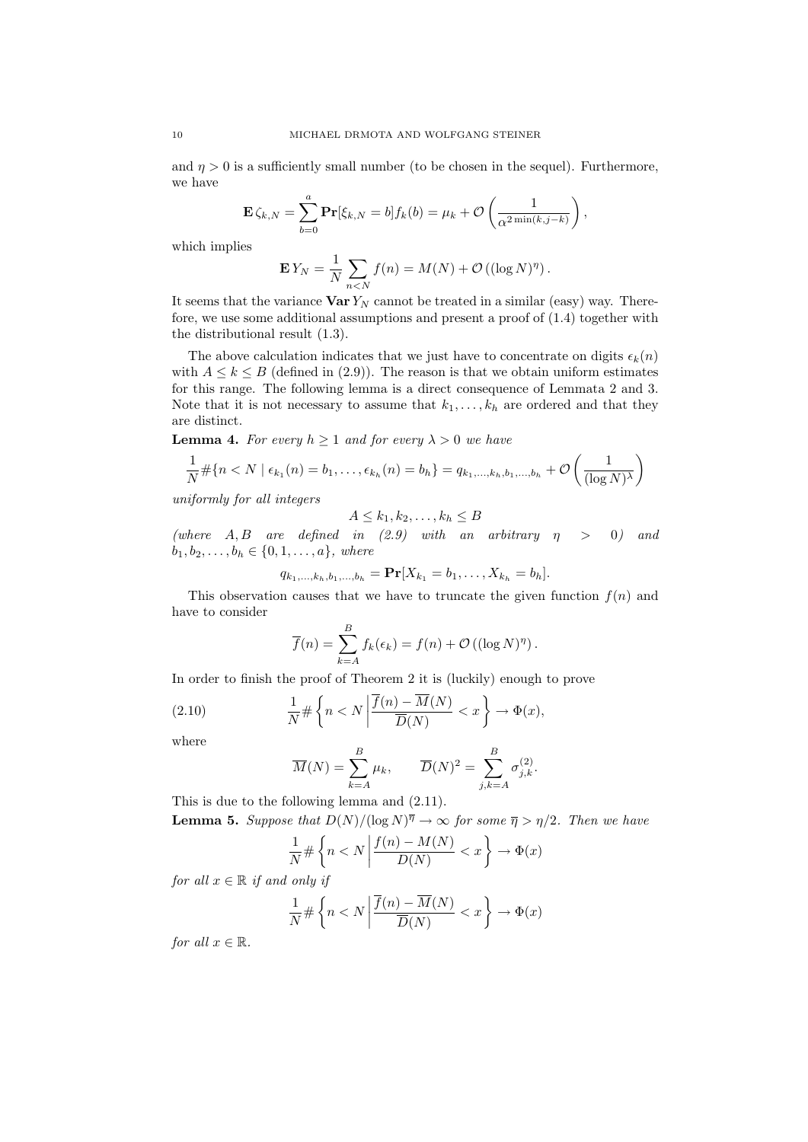and  $\eta > 0$  is a sufficiently small number (to be chosen in the sequel). Furthermore, we have

$$
\mathbf{E}\zeta_{k,N} = \sum_{b=0}^a \mathbf{Pr}[\zeta_{k,N} = b] f_k(b) = \mu_k + \mathcal{O}\left(\frac{1}{\alpha^{2\min(k,j-k)}}\right),
$$

which implies

$$
\mathbf{E} Y_N = \frac{1}{N} \sum_{n < N} f(n) = M(N) + \mathcal{O}\left((\log N)^{\eta}\right).
$$

It seems that the variance  $\text{Var } Y_N$  cannot be treated in a similar (easy) way. Therefore, we use some additional assumptions and present a proof of (1.4) together with the distributional result (1.3).

The above calculation indicates that we just have to concentrate on digits  $\epsilon_k(n)$ with  $A \leq k \leq B$  (defined in (2.9)). The reason is that we obtain uniform estimates for this range. The following lemma is a direct consequence of Lemmata 2 and 3. Note that it is not necessary to assume that  $k_1, \ldots, k_h$  are ordered and that they are distinct.

**Lemma 4.** For every  $h \geq 1$  and for every  $\lambda > 0$  we have

$$
\frac{1}{N} \# \{ n < N \mid \epsilon_{k_1}(n) = b_1, \dots, \epsilon_{k_h}(n) = b_h \} = q_{k_1, \dots, k_h, b_1, \dots, b_h} + \mathcal{O}\left(\frac{1}{(\log N)^{\lambda}}\right)
$$

uniformly for all integers

$$
A \leq k_1, k_2, \dots, k_h \leq B
$$

(where  $A, B$  are defined in (2.9) with an arbitrary  $\eta > 0$ ) and  $b_1, b_2, \ldots, b_h \in \{0, 1, \ldots, a\},$  where

$$
q_{k_1,\ldots,k_h,b_1,\ldots,b_h} = \mathbf{Pr}[X_{k_1} = b_1,\ldots,X_{k_h} = b_h].
$$

This observation causes that we have to truncate the given function  $f(n)$  and have to consider

$$
\overline{f}(n) = \sum_{k=A}^{B} f_k(\epsilon_k) = f(n) + \mathcal{O}((\log N)^{\eta}).
$$

In order to finish the proof of Theorem 2 it is (luckily) enough to prove

(2.10) 
$$
\frac{1}{N} \# \left\{ n < N \left| \frac{\overline{f}(n) - \overline{M}(N)}{\overline{D}(N)} < x \right. \right\} \to \Phi(x),
$$

where

$$
\overline{M}(N) = \sum_{k=A}^{B} \mu_k, \qquad \overline{D}(N)^2 = \sum_{j,k=A}^{B} \sigma_{j,k}^{(2)}.
$$

This is due to the following lemma and (2.11). **Lemma 5.** Suppose that  $D(N)/(\log N)^{\overline{\eta}} \to \infty$  for some  $\overline{\eta} > \eta/2$ . Then we have

$$
\frac{1}{N} \# \left\{ n < N \left| \frac{f(n) - M(N)}{D(N)} < x \right. \right\} \to \Phi(x)
$$

for all  $x \in \mathbb{R}$  if and only if

$$
\frac{1}{N} \# \left\{ n < N \left| \frac{\overline{f}(n) - \overline{M}(N)}{\overline{D}(N)} < x \right. \right\} \to \Phi(x)
$$

for all  $x \in \mathbb{R}$ .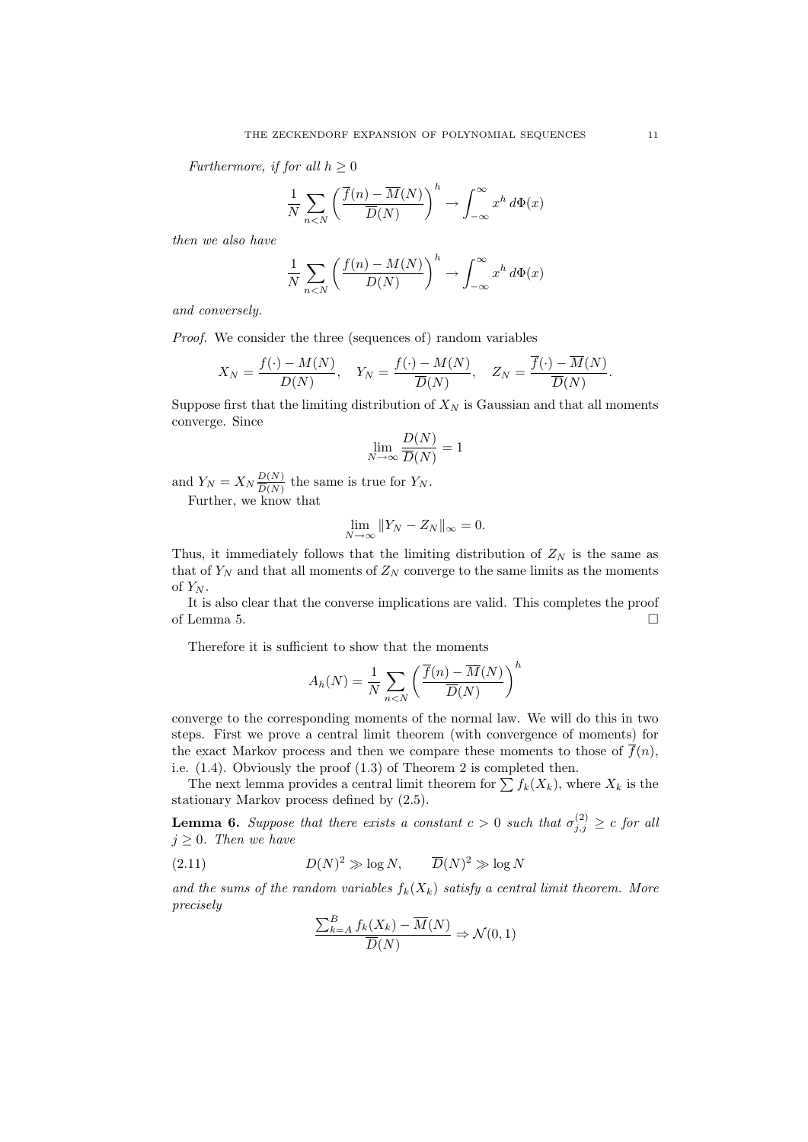Furthermore, if for all  $h \geq 0$ 

$$
\frac{1}{N} \sum_{n < N} \left( \frac{\overline{f}(n) - \overline{M}(N)}{\overline{D}(N)} \right)^h \to \int_{-\infty}^{\infty} x^h \, d\Phi(x)
$$

then we also have

$$
\frac{1}{N} \sum_{n < N} \left( \frac{f(n) - M(N)}{D(N)} \right)^h \to \int_{-\infty}^{\infty} x^h \, d\Phi(x)
$$

and conversely.

Proof. We consider the three (sequences of) random variables

$$
X_N = \frac{f(\cdot) - M(N)}{D(N)}, \quad Y_N = \frac{f(\cdot) - M(N)}{\overline{D}(N)}, \quad Z_N = \frac{\overline{f}(\cdot) - \overline{M}(N)}{\overline{D}(N)}.
$$

Suppose first that the limiting distribution of  $X_N$  is Gaussian and that all moments converge. Since

$$
\lim_{N \to \infty} \frac{D(N)}{\overline{D}(N)} = 1
$$

and  $Y_N = X_N \frac{D(N)}{D(N)}$  $\frac{D(N)}{\overline{D}(N)}$  the same is true for  $Y_N$ . Further, we know that

$$
\lim_{N \to \infty} \|Y_N - Z_N\|_{\infty} = 0.
$$

Thus, it immediately follows that the limiting distribution of  $Z_N$  is the same as that of  $Y_N$  and that all moments of  $Z_N$  converge to the same limits as the moments of  $Y_N$ .

It is also clear that the converse implications are valid. This completes the proof of Lemma 5.  $\Box$ 

Therefore it is sufficient to show that the moments

$$
A_h(N) = \frac{1}{N} \sum_{n < N} \left( \frac{\overline{f}(n) - \overline{M}(N)}{\overline{D}(N)} \right)^h
$$

converge to the corresponding moments of the normal law. We will do this in two steps. First we prove a central limit theorem (with convergence of moments) for the exact Markov process and then we compare these moments to those of  $\overline{f}(n)$ , i.e. (1.4). Obviously the proof (1.3) of Theorem 2 is completed then.

The next lemma provides a central limit theorem for  $\sum f_k(X_k)$ , where  $X_k$  is the stationary Markov process defined by (2.5).

**Lemma 6.** Suppose that there exists a constant  $c > 0$  such that  $\sigma_{j,j}^{(2)} \geq c$  for all  $j \geq 0$ . Then we have

(2.11) 
$$
D(N)^2 \gg \log N, \qquad \overline{D}(N)^2 \gg \log N
$$

and the sums of the random variables  $f_k(X_k)$  satisfy a central limit theorem. More precisely

$$
\frac{\sum_{k=A}^{B} f_k(X_k) - \overline{M}(N)}{\overline{D}(N)} \Rightarrow \mathcal{N}(0, 1)
$$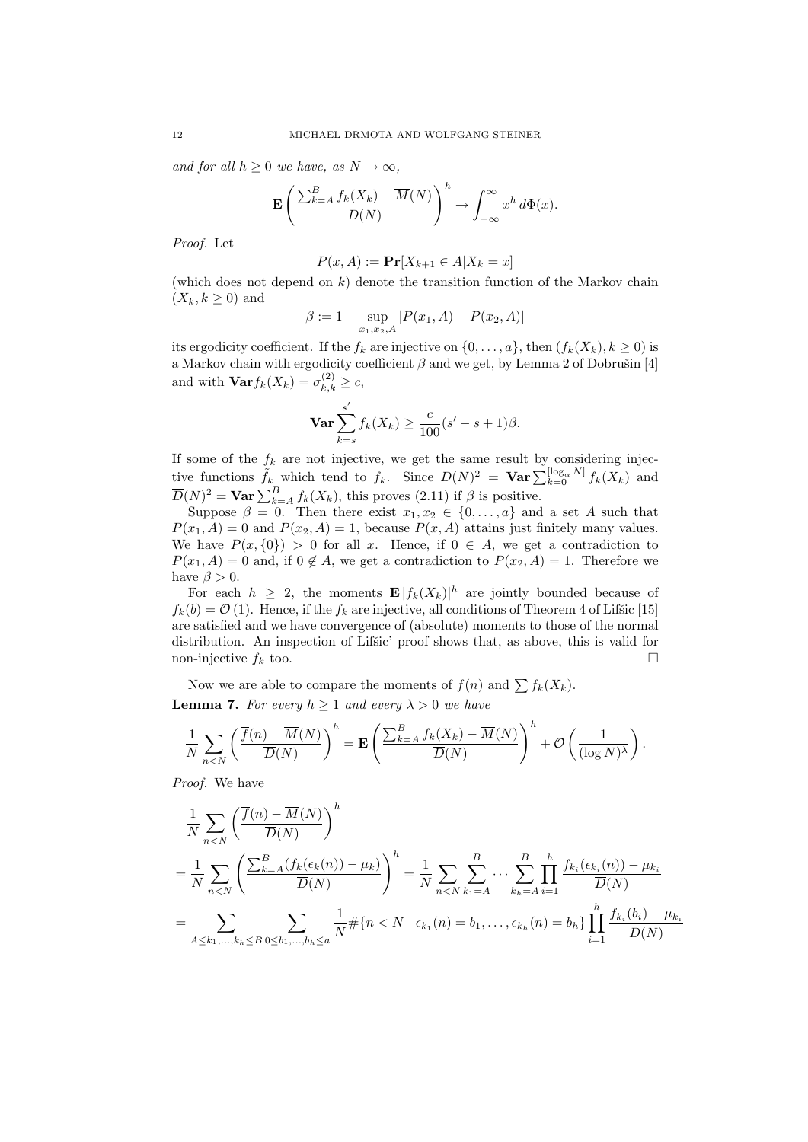and for all  $h \geq 0$  we have, as  $N \to \infty$ ,

$$
\mathbf{E}\left(\frac{\sum_{k=A}^{B} f_k(X_k) - \overline{M}(N)}{\overline{D}(N)}\right)^h \to \int_{-\infty}^{\infty} x^h d\Phi(x).
$$

Proof. Let

$$
P(x, A) := \mathbf{Pr}[X_{k+1} \in A | X_k = x]
$$

(which does not depend on  $k$ ) denote the transition function of the Markov chain  $(X_k, k \geq 0)$  and

$$
\beta:=1-\sup_{x_1,x_2,A}|P(x_1,A)-P(x_2,A)|
$$

its ergodicity coefficient. If the  $f_k$  are injective on  $\{0, \ldots, a\}$ , then  $(f_k(X_k), k \geq 0)$  is a Markov chain with ergodicity coefficient  $\beta$  and we get, by Lemma 2 of Dobrušin [4] and with  $\text{Var} f_k(X_k) = \sigma_{k,k}^{(2)} \geq c$ ,

$$
\mathbf{Var} \sum_{k=s}^{s'} f_k(X_k) \ge \frac{c}{100} (s' - s + 1)\beta.
$$

If some of the  $f_k$  are not injective, we get the same result by considering injective functions  $\tilde{f}_k$  which tend to  $f_k$ . Since  $D(N)^2 = \textbf{Var} \sum_{k=0}^{\lfloor \log_{\alpha} N \rfloor} f_k(X_k)$  and  $\overline{D}(N)^2 = \textbf{Var} \sum_{k=A}^{B} f_k(X_k)$ , this proves (2.11) if  $\beta$  is positive.

Suppose  $\beta = 0$ . Then there exist  $x_1, x_2 \in \{0, \ldots, a\}$  and a set A such that  $P(x_1, A) = 0$  and  $P(x_2, A) = 1$ , because  $P(x, A)$  attains just finitely many values. We have  $P(x, \{0\}) > 0$  for all x. Hence, if  $0 \in A$ , we get a contradiction to  $P(x_1, A) = 0$  and, if  $0 \notin A$ , we get a contradiction to  $P(x_2, A) = 1$ . Therefore we have  $\beta > 0$ .

For each  $h \geq 2$ , the moments  $\mathbf{E} |f_k(X_k)|^h$  are jointly bounded because of  $f_k(b) = \mathcal{O}(1)$ . Hence, if the  $f_k$  are injective, all conditions of Theorem 4 of Lifšic [15] are satisfied and we have convergence of (absolute) moments to those of the normal distribution. An inspection of Lifsic' proof shows that, as above, this is valid for non-injective  $f_k$  too.

Now we are able to compare the moments of  $\overline{f}(n)$  and  $\sum f_k(X_k)$ . **Lemma 7.** For every  $h \geq 1$  and every  $\lambda > 0$  we have

$$
\frac{1}{N} \sum_{n < N} \left( \frac{\overline{f}(n) - \overline{M}(N)}{\overline{D}(N)} \right)^h = \mathbf{E} \left( \frac{\sum_{k=A}^B f_k(X_k) - \overline{M}(N)}{\overline{D}(N)} \right)^h + \mathcal{O}\left( \frac{1}{(\log N)^\lambda} \right).
$$

Proof. We have

$$
\frac{1}{N} \sum_{n < N} \left( \frac{\overline{f}(n) - \overline{M}(N)}{\overline{D}(N)} \right)^h
$$
\n
$$
= \frac{1}{N} \sum_{n < N} \left( \frac{\sum_{k=1}^B (f_k(\epsilon_k(n)) - \mu_k)}{\overline{D}(N)} \right)^h = \frac{1}{N} \sum_{n < N} \sum_{k_1 = A}^B \dots \sum_{k_h = A}^B \prod_{i=1}^h \frac{f_{k_i}(\epsilon_{k_i}(n)) - \mu_{k_i}}{\overline{D}(N)}
$$
\n
$$
= \sum_{A \le k_1, \dots, k_h \le B} \sum_{0 \le b_1, \dots, b_h \le a} \frac{1}{N} \# \{ n < N \mid \epsilon_{k_1}(n) = b_1, \dots, \epsilon_{k_h}(n) = b_h \} \prod_{i=1}^h \frac{f_{k_i}(b_i) - \mu_{k_i}(b_i)}{\overline{D}(N)}
$$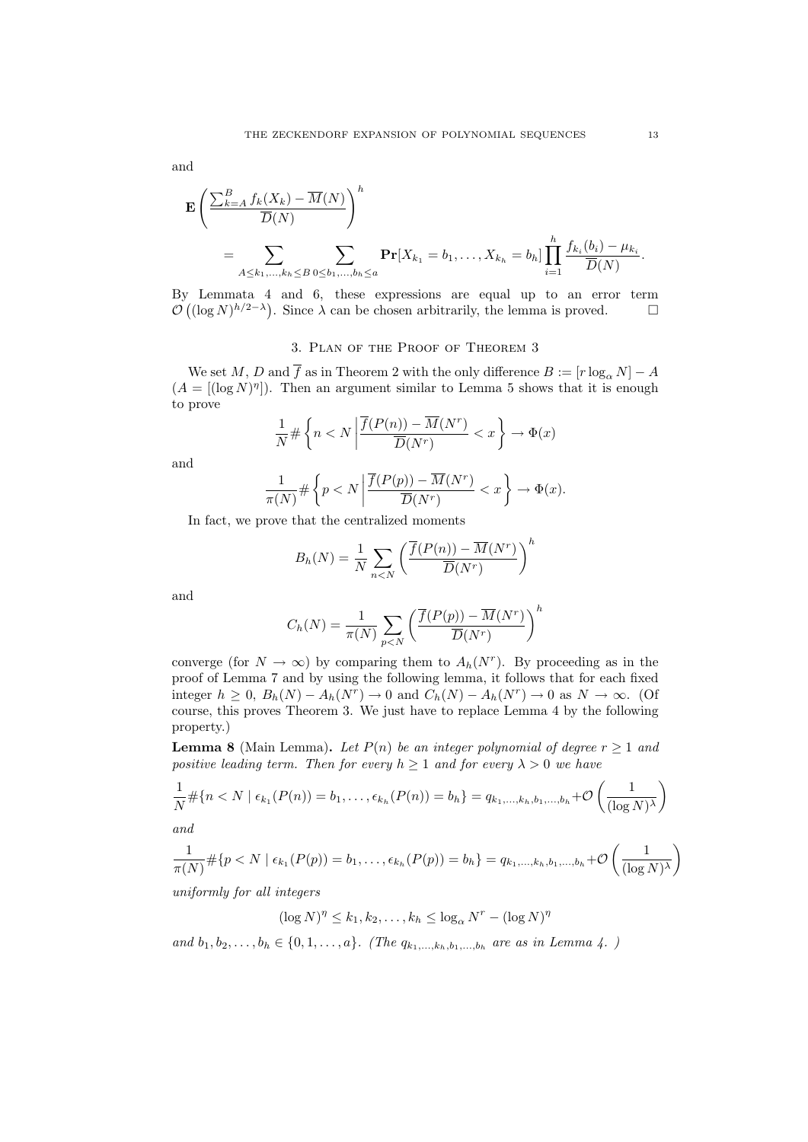and

$$
\mathbf{E}\left(\frac{\sum_{k=A}^{B}f_k(X_k)-\overline{M}(N)}{\overline{D}(N)}\right)^h
$$
  
= 
$$
\sum_{A\leq k_1,\ldots,k_h\leq B}\sum_{0\leq b_1,\ldots,b_h\leq a}\mathbf{Pr}[X_{k_1}=b_1,\ldots,X_{k_h}=b_h]\prod_{i=1}^h\frac{f_{k_i}(b_i)-\mu_{k_i}}{\overline{D}(N)}.
$$

By Lemmata 4 and 6, these expressions are equal up to an error term  $\mathcal{O}((\log N)^{h/2-\lambda})$ . Since  $\lambda$  can be chosen arbitrarily, the lemma is proved.  $\square$ 

# 3. Plan of the Proof of Theorem 3

We set  $M, D$  and  $\overline{f}$  as in Theorem 2 with the only difference  $B := [r \log_{\alpha} N] - A$  $(A = [(\log N)^{\eta}])$ . Then an argument similar to Lemma 5 shows that it is enough to prove

$$
\frac{1}{N} \# \left\{ n < N \left| \frac{\overline{f}(P(n)) - \overline{M}(N^r)}{\overline{D}(N^r)} < x \right. \right\} \to \Phi(x)
$$

and

$$
\frac{1}{\pi(N)} \# \left\{ p < N \left| \frac{\overline{f}(P(p)) - \overline{M}(N^r)}{\overline{D}(N^r)} < x \right. \right\} \to \Phi(x).
$$

In fact, we prove that the centralized moments

$$
B_h(N) = \frac{1}{N} \sum_{n < N} \left( \frac{\overline{f}(P(n)) - \overline{M}(N^r)}{\overline{D}(N^r)} \right)^h
$$

and

$$
C_h(N) = \frac{1}{\pi(N)} \sum_{p < N} \left( \frac{\overline{f}(P(p)) - \overline{M}(N^r)}{\overline{D}(N^r)} \right)^h
$$

converge (for  $N \to \infty$ ) by comparing them to  $A_h(N^r)$ . By proceeding as in the proof of Lemma 7 and by using the following lemma, it follows that for each fixed integer  $h \geq 0$ ,  $B_h(N) - A_h(N^r) \to 0$  and  $C_h(N) - A_h(N^r) \to 0$  as  $N \to \infty$ . (Of course, this proves Theorem 3. We just have to replace Lemma 4 by the following property.)

**Lemma 8** (Main Lemma). Let  $P(n)$  be an integer polynomial of degree  $r \ge 1$  and positive leading term. Then for every  $h \geq 1$  and for every  $\lambda > 0$  we have

$$
\frac{1}{N} \# \{ n < N \mid \epsilon_{k_1}(P(n)) = b_1, \dots, \epsilon_{k_h}(P(n)) = b_h \} = q_{k_1, \dots, k_h, b_1, \dots, b_h} + \mathcal{O}\left(\frac{1}{(\log N)^{\lambda}}\right)
$$

and

$$
\frac{1}{\pi(N)} \# \{p < N \mid \epsilon_{k_1}(P(p)) = b_1, \dots, \epsilon_{k_h}(P(p)) = b_h\} = q_{k_1, \dots, k_h, b_1, \dots, b_h} + \mathcal{O}\left(\frac{1}{(\log N)^{\lambda}}\right)
$$

uniformly for all integers

$$
(\log N)^{\eta} \le k_1, k_2, \dots, k_h \le \log_{\alpha} N^r - (\log N)^{\eta}
$$

and  $b_1, b_2, \ldots, b_h \in \{0, 1, \ldots, a\}$ . (The  $q_{k_1, \ldots, k_h, b_1, \ldots, b_h}$  are as in Lemma 4.)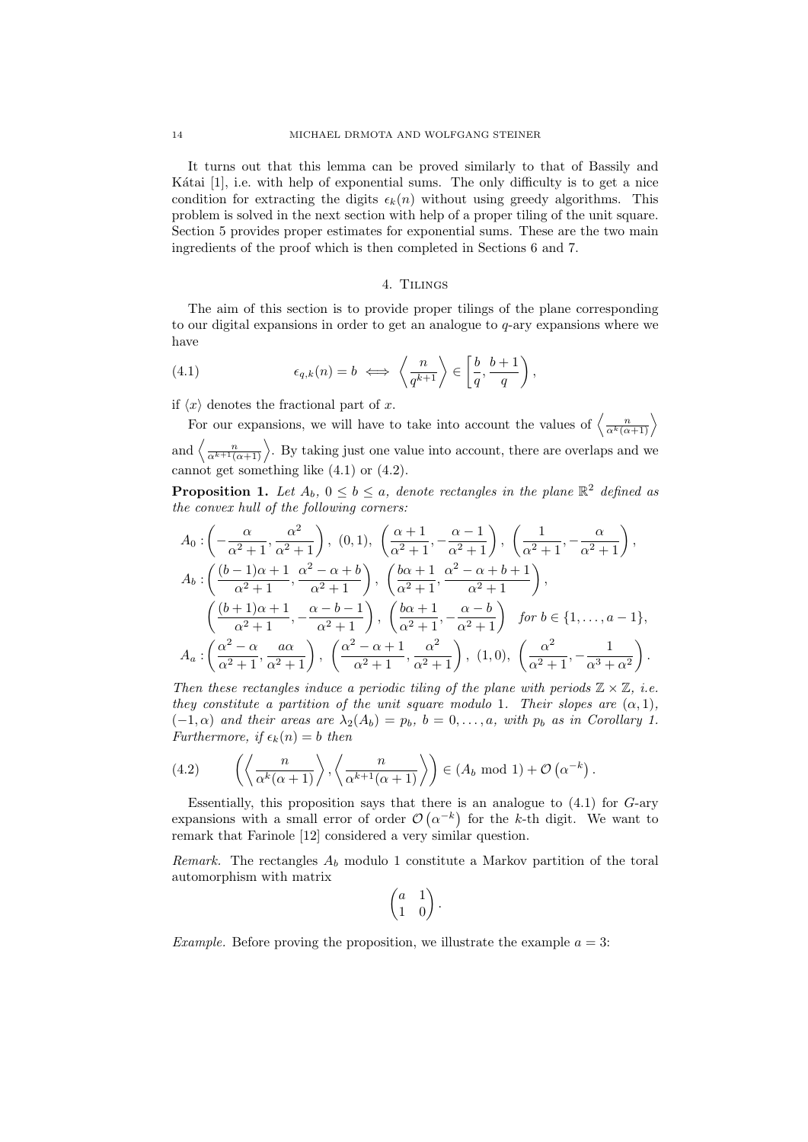It turns out that this lemma can be proved similarly to that of Bassily and Kátai  $[1]$ , i.e. with help of exponential sums. The only difficulty is to get a nice condition for extracting the digits  $\epsilon_k(n)$  without using greedy algorithms. This problem is solved in the next section with help of a proper tiling of the unit square. Section 5 provides proper estimates for exponential sums. These are the two main ingredients of the proof which is then completed in Sections 6 and 7.

### 4. Tilings

The aim of this section is to provide proper tilings of the plane corresponding to our digital expansions in order to get an analogue to q-ary expansions where we have

(4.1) 
$$
\epsilon_{q,k}(n) = b \iff \left\langle \frac{n}{q^{k+1}} \right\rangle \in \left[\frac{b}{q}, \frac{b+1}{q}\right),
$$

if  $\langle x \rangle$  denotes the fractional part of x.

For our expansions, we will have to take into account the values of  $\left\langle \frac{n}{\alpha^k(\alpha+1)} \right\rangle$ and  $\langle \frac{n}{\alpha^{k+1}(\alpha+1)} \rangle$ . By taking just one value into account, there are overlaps and we cannot get something like  $(4.1)$  or  $(4.2)$ .

**Proposition 1.** Let  $A_b$ ,  $0 \le b \le a$ , denote rectangles in the plane  $\mathbb{R}^2$  defined as the convex hull of the following corners:

$$
A_0: \left(-\frac{\alpha}{\alpha^2+1}, \frac{\alpha^2}{\alpha^2+1}\right), (0,1), \left(\frac{\alpha+1}{\alpha^2+1}, -\frac{\alpha-1}{\alpha^2+1}\right), \left(\frac{1}{\alpha^2+1}, -\frac{\alpha}{\alpha^2+1}\right),
$$
  
\n
$$
A_b: \left(\frac{(b-1)\alpha+1}{\alpha^2+1}, \frac{\alpha^2-\alpha+b}{\alpha^2+1}\right), \left(\frac{b\alpha+1}{\alpha^2+1}, \frac{\alpha^2-\alpha+b+1}{\alpha^2+1}\right),
$$
  
\n
$$
\left(\frac{(b+1)\alpha+1}{\alpha^2+1}, -\frac{\alpha-b-1}{\alpha^2+1}\right), \left(\frac{b\alpha+1}{\alpha^2+1}, -\frac{\alpha-b}{\alpha^2+1}\right) \text{ for } b \in \{1, \ldots, a-1\},
$$
  
\n
$$
A_a: \left(\frac{\alpha^2-\alpha}{\alpha^2+1}, \frac{a\alpha}{\alpha^2+1}\right), \left(\frac{\alpha^2-\alpha+1}{\alpha^2+1}, \frac{\alpha^2}{\alpha^2+1}\right), (1,0), \left(\frac{\alpha^2}{\alpha^2+1}, -\frac{1}{\alpha^3+\alpha^2}\right).
$$

Then these rectangles induce a periodic tiling of the plane with periods  $\mathbb{Z} \times \mathbb{Z}$ , i.e. they constitute a partition of the unit square modulo 1. Their slopes are  $(\alpha, 1)$ ,  $(-1, \alpha)$  and their areas are  $\lambda_2(A_b) = p_b$ ,  $b = 0, \ldots, a$ , with  $p_b$  as in Corollary 1. Furthermore, if  $\epsilon_k(n) = b$  then

(4.2) 
$$
\left\langle \left\langle \frac{n}{\alpha^k(\alpha+1)} \right\rangle, \left\langle \frac{n}{\alpha^{k+1}(\alpha+1)} \right\rangle \right\rangle \in (A_b \mod 1) + \mathcal{O}(\alpha^{-k}).
$$

Essentially, this proposition says that there is an analogue to  $(4.1)$  for  $G$ -ary expansions with a small error of order  $\mathcal{O}(\alpha^{-k})$  for the k-th digit. We want to remark that Farinole [12] considered a very similar question.

Remark. The rectangles  $A_b$  modulo 1 constitute a Markov partition of the toral automorphism with matrix

$$
\begin{pmatrix} a & 1 \\ 1 & 0 \end{pmatrix}.
$$

*Example.* Before proving the proposition, we illustrate the example  $a = 3$ :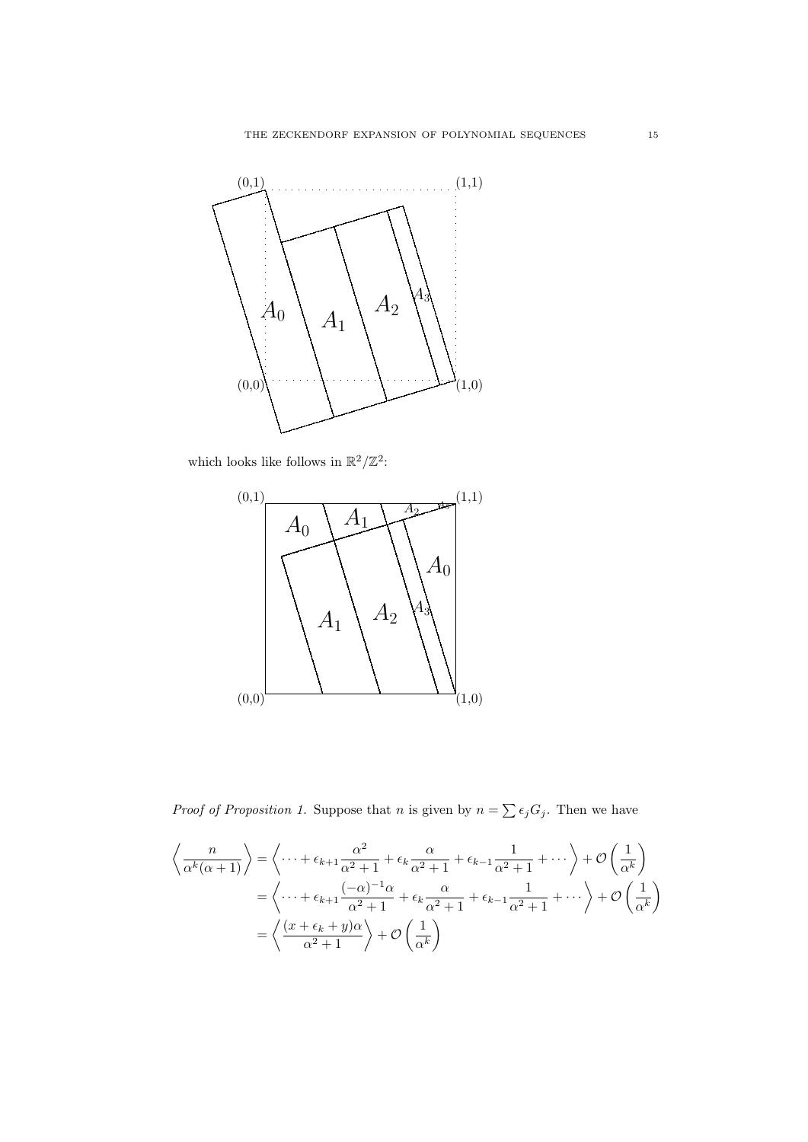

which looks like follows in  $\mathbb{R}^2/\mathbb{Z}^2$ :



*Proof of Proposition 1.* Suppose that *n* is given by  $n = \sum_{i} \epsilon_i G_i$ . Then we have

$$
\left\langle \frac{n}{\alpha^k(\alpha+1)} \right\rangle = \left\langle \dots + \epsilon_{k+1} \frac{\alpha^2}{\alpha^2+1} + \epsilon_k \frac{\alpha}{\alpha^2+1} + \epsilon_{k-1} \frac{1}{\alpha^2+1} + \dots \right\rangle + \mathcal{O}\left(\frac{1}{\alpha^k}\right)
$$

$$
= \left\langle \dots + \epsilon_{k+1} \frac{(-\alpha)^{-1}\alpha}{\alpha^2+1} + \epsilon_k \frac{\alpha}{\alpha^2+1} + \epsilon_{k-1} \frac{1}{\alpha^2+1} + \dots \right\rangle + \mathcal{O}\left(\frac{1}{\alpha^k}\right)
$$

$$
= \left\langle \frac{(x+\epsilon_k+y)\alpha}{\alpha^2+1} \right\rangle + \mathcal{O}\left(\frac{1}{\alpha^k}\right)
$$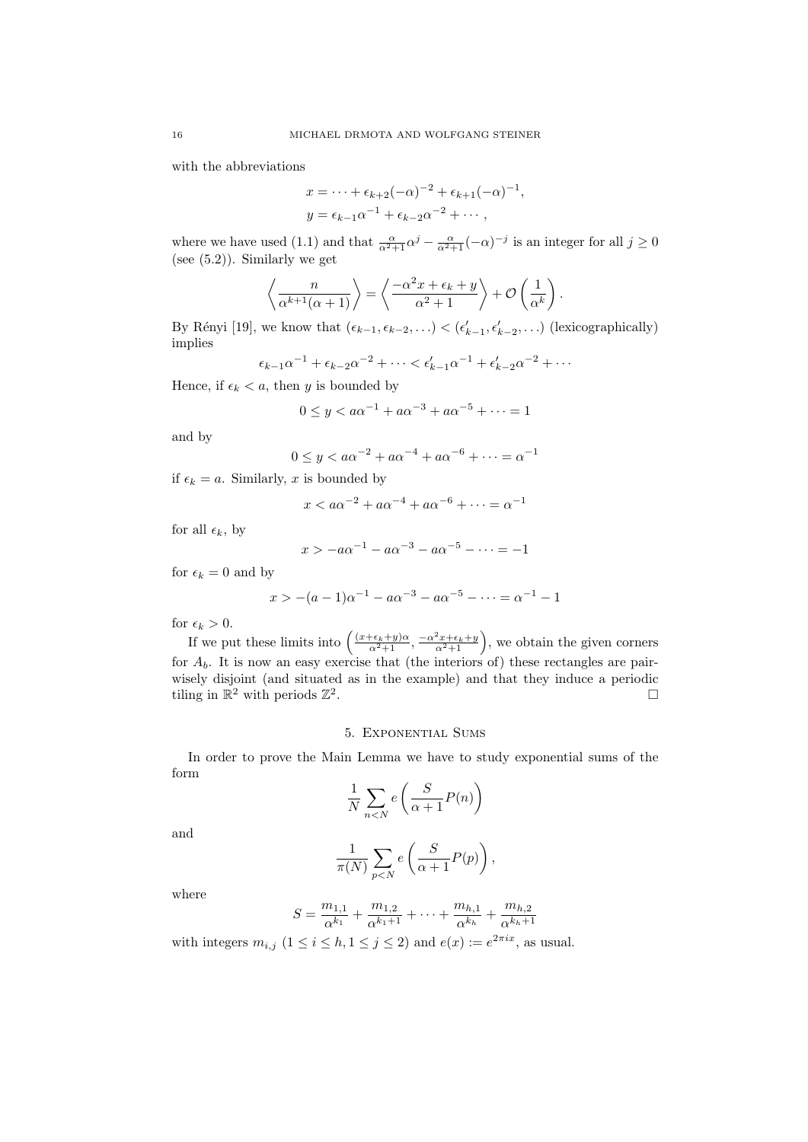with the abbreviations

$$
x = \dots + \epsilon_{k+2}(-\alpha)^{-2} + \epsilon_{k+1}(-\alpha)^{-1},
$$
  

$$
y = \epsilon_{k-1}\alpha^{-1} + \epsilon_{k-2}\alpha^{-2} + \dots,
$$

where we have used (1.1) and that  $\frac{\alpha}{\alpha^2+1}\alpha^j-\frac{\alpha}{\alpha^2+1}(-\alpha)^{-j}$  is an integer for all  $j\geq 0$ (see (5.2)). Similarly we get

$$
\left\langle \frac{n}{\alpha^{k+1}(\alpha+1)} \right\rangle = \left\langle \frac{-\alpha^2 x + \epsilon_k + y}{\alpha^2 + 1} \right\rangle + \mathcal{O}\left(\frac{1}{\alpha^k}\right).
$$

By Rényi [19], we know that  $(\epsilon_{k-1}, \epsilon_{k-2}, \ldots) < (\epsilon'_{k-1}, \epsilon'_{k-2}, \ldots)$  (lexicographically) implies

$$
\epsilon_{k-1}\alpha^{-1} + \epsilon_{k-2}\alpha^{-2} + \cdots < \epsilon'_{k-1}\alpha^{-1} + \epsilon'_{k-2}\alpha^{-2} + \cdots
$$

Hence, if  $\epsilon_k < a$ , then y is bounded by

$$
0 \le y < a\alpha^{-1} + a\alpha^{-3} + a\alpha^{-5} + \dots = 1
$$

and by

$$
0 \le y < a\alpha^{-2} + a\alpha^{-4} + a\alpha^{-6} + \dots = \alpha^{-1}
$$

if  $\epsilon_k = a$ . Similarly, x is bounded by

$$
x < a\alpha^{-2} + a\alpha^{-4} + a\alpha^{-6} + \dots = \alpha^{-1}
$$

for all  $\epsilon_k$ , by

$$
x > -a\alpha^{-1} - a\alpha^{-3} - a\alpha^{-5} - \dots = -1
$$

for  $\epsilon_k = 0$  and by

$$
x > -(a-1)\alpha^{-1} - a\alpha^{-3} - a\alpha^{-5} - \dots = \alpha^{-1} - 1
$$

for  $\epsilon_k > 0$ .

If we put these limits into  $\left(\frac{(x+\epsilon_k+y)\alpha}{\alpha^2+1}, \frac{-\alpha^2x+\epsilon_k+y}{\alpha^2+1}\right)$ , we obtain the given corners for  $A_b$ . It is now an easy exercise that (the interiors of) these rectangles are pairwisely disjoint (and situated as in the example) and that they induce a periodic tiling in  $\mathbb{R}^2$  with periods  $\mathbb{Z}^2$ .

## 5. Exponential Sums

In order to prove the Main Lemma we have to study exponential sums of the form

$$
\frac{1}{N} \sum_{n < N} e\left(\frac{S}{\alpha + 1} P(n)\right)
$$

and

$$
\frac{1}{\pi(N)}\sum_{p
$$

where

$$
S = \frac{m_{1,1}}{\alpha^{k_1}} + \frac{m_{1,2}}{\alpha^{k_1+1}} + \dots + \frac{m_{h,1}}{\alpha^{k_h}} + \frac{m_{h,2}}{\alpha^{k_h+1}}
$$

with integers  $m_{i,j}$   $(1 \leq i \leq h, 1 \leq j \leq 2)$  and  $e(x) := e^{2\pi i x}$ , as usual.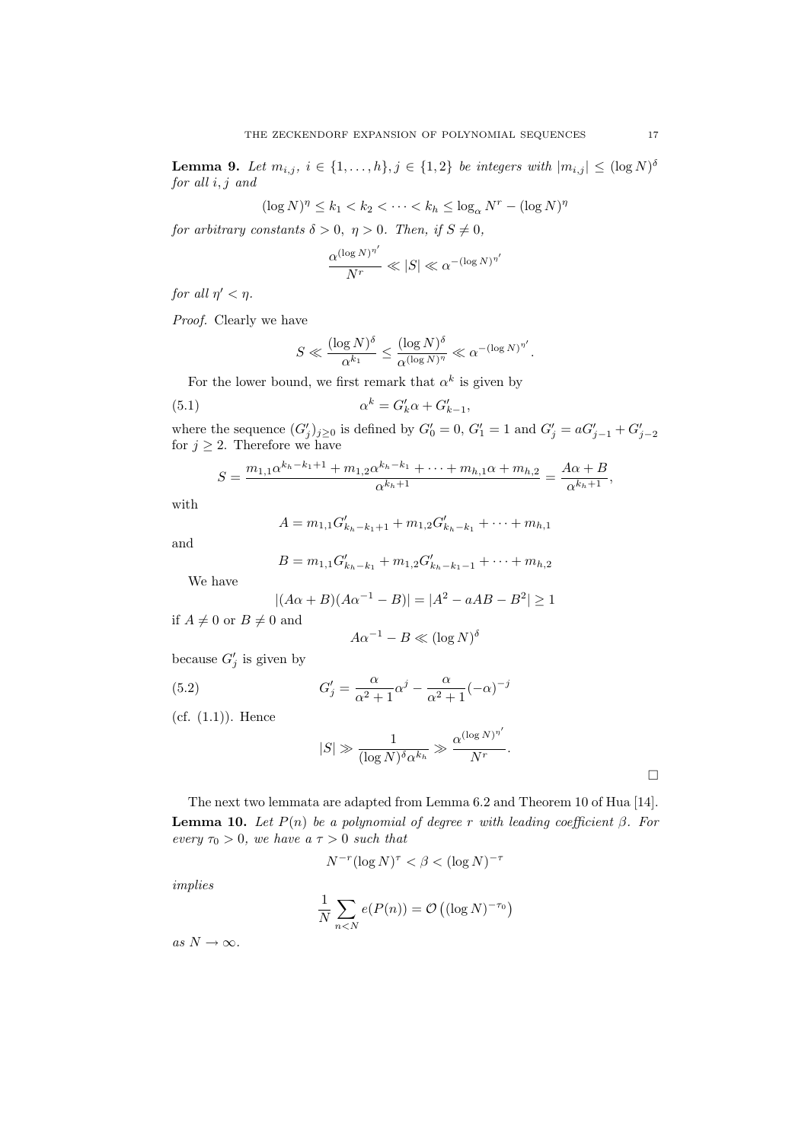**Lemma 9.** Let  $m_{i,j}$ ,  $i \in \{1, ..., h\}$ ,  $j \in \{1, 2\}$  be integers with  $|m_{i,j}| \leq (\log N)^{\delta}$ for all i, j and

$$
(\log N)^{\eta} \le k_1 < k_2 < \cdots < k_h \le \log_{\alpha} N^r - (\log N)^{\eta}
$$

for arbitrary constants  $\delta > 0$ ,  $\eta > 0$ . Then, if  $S \neq 0$ ,

$$
\frac{\alpha^{(\log N)^{\eta'}}}{N^r} \ll |S| \ll \alpha^{-(\log N)^{\eta'}}
$$

for all  $\eta' < \eta$ .

Proof. Clearly we have

$$
S \ll \frac{(\log N)^{\delta}}{\alpha^{k_1}} \le \frac{(\log N)^{\delta}}{\alpha^{(\log N)^{\eta}}} \ll \alpha^{-(\log N)^{\eta'}}.
$$

For the lower bound, we first remark that  $\alpha^k$  is given by

(5.1) 
$$
\alpha^k = G'_k \alpha + G'_{k-1},
$$

where the sequence  $(G'_j)_{j\geq 0}$  is defined by  $G'_0 = 0$ ,  $G'_1 = 1$  and  $G'_j = aG'_{j-1} + G'_{j-2}$ for  $j \geq 2$ . Therefore we have

$$
S = \frac{m_{1,1}\alpha^{k_h - k_1 + 1} + m_{1,2}\alpha^{k_h - k_1} + \dots + m_{h,1}\alpha + m_{h,2}}{\alpha^{k_h + 1}} = \frac{A\alpha + B}{\alpha^{k_h + 1}},
$$

with

$$
A = m_{1,1}G'_{k_h - k_1 + 1} + m_{1,2}G'_{k_h - k_1} + \cdots + m_{h,1}
$$

and

$$
B = m_{1,1}G'_{k_h - k_1} + m_{1,2}G'_{k_h - k_1 - 1} + \cdots + m_{h,2}
$$

We have

$$
|(A\alpha + B)(A\alpha^{-1} - B)| = |A^2 - aAB - B^2| \ge 1
$$

if  $A \neq 0$  or  $B \neq 0$  and

$$
A\alpha^{-1} - B \ll (\log N)^{\delta}
$$

because  $G_j'$  is given by

(5.2) 
$$
G'_{j} = \frac{\alpha}{\alpha^{2} + 1} \alpha^{j} - \frac{\alpha}{\alpha^{2} + 1} (-\alpha)^{-j}
$$

(cf. (1.1)). Hence

$$
|S| \gg \frac{1}{(\log N)^{\delta} \alpha^{k_h}} \gg \frac{\alpha^{(\log N)^{\eta'}}}{N^r}.
$$

 $\Box$ 

The next two lemmata are adapted from Lemma 6.2 and Theorem 10 of Hua [14]. **Lemma 10.** Let  $P(n)$  be a polynomial of degree r with leading coefficient  $\beta$ . For every  $\tau_0 > 0$ , we have  $a \tau > 0$  such that

$$
N^{-r} (\log N)^{\tau} < \beta < (\log N)^{-\tau}
$$

implies

$$
\frac{1}{N} \sum_{n < N} e(P(n)) = \mathcal{O}\left((\log N)^{-\tau_0}\right)
$$

as  $N \to \infty$ .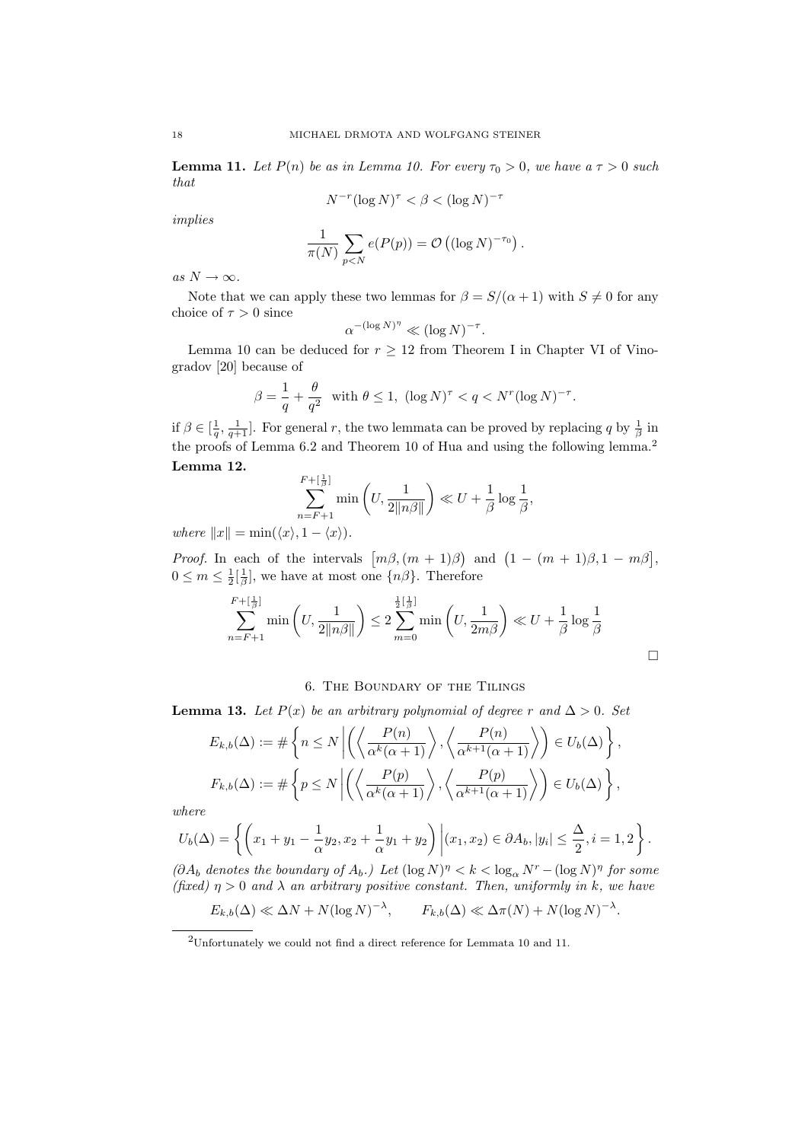**Lemma 11.** Let  $P(n)$  be as in Lemma 10. For every  $\tau_0 > 0$ , we have  $a \tau > 0$  such that

$$
N^{-r} (\log N)^{\tau} < \beta < (\log N)^{-\tau}
$$

implies

$$
\frac{1}{\pi(N)}\sum_{p
$$

as  $N \to \infty$ .

Note that we can apply these two lemmas for  $\beta = S/(\alpha + 1)$  with  $S \neq 0$  for any choice of  $\tau > 0$  since

$$
\alpha^{-(\log N)^{\eta}} \ll (\log N)^{-\tau}
$$

.

Lemma 10 can be deduced for  $r \geq 12$  from Theorem I in Chapter VI of Vinogradov [20] because of

$$
\beta = \frac{1}{q} + \frac{\theta}{q^2} \quad \text{with } \theta \le 1, \ (\log N)^\tau < q < N^r (\log N)^{-\tau}.
$$

if  $\beta \in [\frac{1}{q}, \frac{1}{q+1}]$ . For general r, the two lemmata can be proved by replacing q by  $\frac{1}{\beta}$  in the proofs of Lemma 6.2 and Theorem 10 of Hua and using the following lemma.<sup>2</sup> Lemma 12.

$$
\sum_{n=F+1}^{F+\lfloor \frac{1}{\beta}\rfloor} \min\left(U, \frac{1}{2\|n\beta\|}\right) \ll U + \frac{1}{\beta} \log \frac{1}{\beta},
$$

where  $||x|| = \min(\langle x \rangle, 1 - \langle x \rangle).$ 

*Proof.* In each of the intervals  $[m\beta, (m+1)\beta]$  and  $(1 - (m+1)\beta, 1 - m\beta]$ ,  $0 \leq m \leq \frac{1}{2} \left[\frac{1}{\beta}\right]$ , we have at most one  $\{n\beta\}$ . Therefore

$$
\sum_{n=F+1}^{F+[\frac{1}{\beta}]} \min\left(U, \frac{1}{2\|n\beta\|}\right) \le 2 \sum_{m=0}^{\frac{1}{2}[\frac{1}{\beta}]} \min\left(U, \frac{1}{2m\beta}\right) \ll U + \frac{1}{\beta} \log \frac{1}{\beta}
$$

### 6. The Boundary of the Tilings

**Lemma 13.** Let  $P(x)$  be an arbitrary polynomial of degree r and  $\Delta > 0$ . Set

$$
E_{k,b}(\Delta) := \#\left\{ n \le N \left| \left( \left\langle \frac{P(n)}{\alpha^k(\alpha+1)} \right\rangle, \left\langle \frac{P(n)}{\alpha^{k+1}(\alpha+1)} \right\rangle \right) \in U_b(\Delta) \right\},\
$$
  

$$
F_{k,b}(\Delta) := \#\left\{ p \le N \left| \left( \left\langle \frac{P(p)}{\alpha^k(\alpha+1)} \right\rangle, \left\langle \frac{P(p)}{\alpha^{k+1}(\alpha+1)} \right\rangle \right) \in U_b(\Delta) \right\},\
$$

where

$$
U_b(\Delta) = \left\{ \left( x_1 + y_1 - \frac{1}{\alpha} y_2, x_2 + \frac{1}{\alpha} y_1 + y_2 \right) \middle| (x_1, x_2) \in \partial A_b, |y_i| \le \frac{\Delta}{2}, i = 1, 2 \right\}.
$$

 $(\partial A_b \text{ denotes the boundary of } A_b.)$  Let  $(\log N)^{\eta} < k < \log_{\alpha} N^{r} - (\log N)^{\eta}$  for some (fixed)  $\eta > 0$  and  $\lambda$  an arbitrary positive constant. Then, uniformly in k, we have

$$
E_{k,b}(\Delta) \ll \Delta N + N(\log N)^{-\lambda}, \qquad F_{k,b}(\Delta) \ll \Delta \pi(N) + N(\log N)^{-\lambda}.
$$

 $^{2}$ Unfortunately we could not find a direct reference for Lemmata 10 and 11.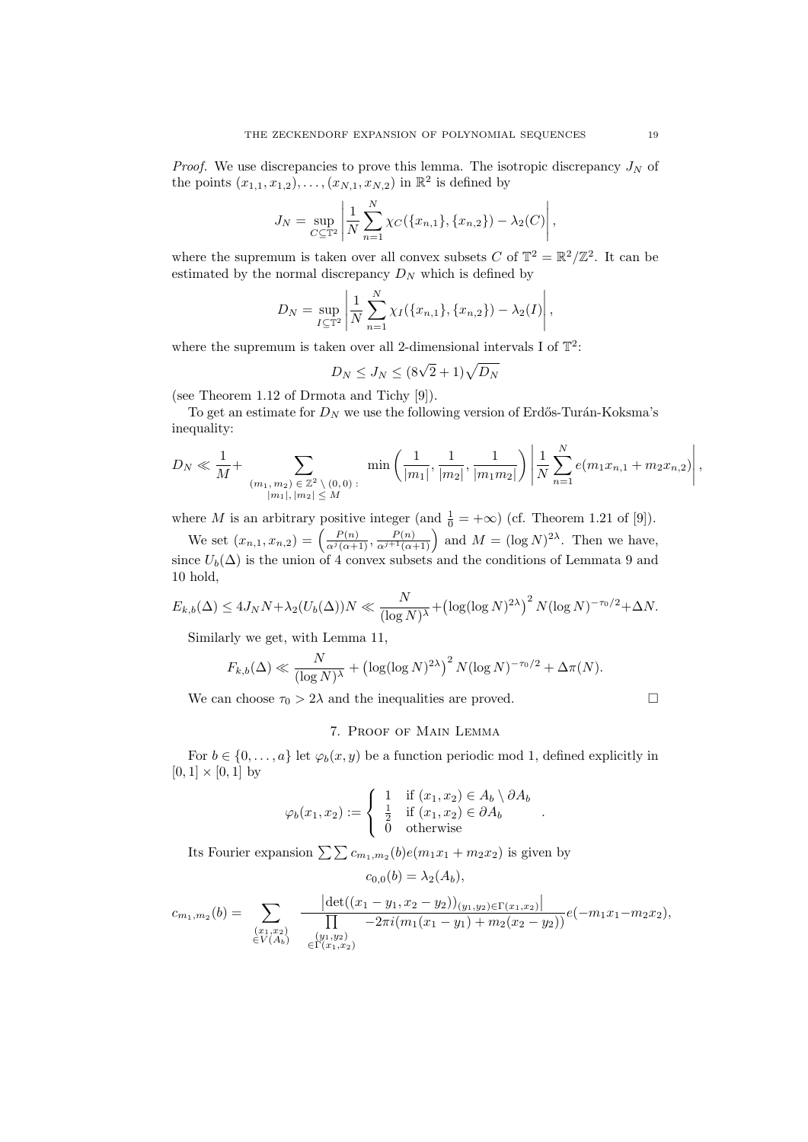*Proof.* We use discrepancies to prove this lemma. The isotropic discrepancy  $J_N$  of the points  $(x_{1,1}, x_{1,2}), \ldots, (x_{N,1}, x_{N,2})$  in  $\mathbb{R}^2$  is defined by

$$
J_N = \sup_{C \subseteq \mathbb{T}^2} \left| \frac{1}{N} \sum_{n=1}^N \chi_C(\{x_{n,1}\}, \{x_{n,2}\}) - \lambda_2(C) \right|,
$$

where the supremum is taken over all convex subsets C of  $\mathbb{T}^2 = \mathbb{R}^2/\mathbb{Z}^2$ . It can be estimated by the normal discrepancy  $D<sub>N</sub>$  which is defined by

$$
D_N = \sup_{I \subseteq \mathbb{T}^2} \left| \frac{1}{N} \sum_{n=1}^N \chi_I(\{x_{n,1}\}, \{x_{n,2}\}) - \lambda_2(I) \right|,
$$

where the supremum is taken over all 2-dimensional intervals I of  $\mathbb{T}^2$ :

$$
D_N \leq J_N \leq (8\sqrt{2} + 1)\sqrt{D_N}
$$

(see Theorem 1.12 of Drmota and Tichy [9]).

To get an estimate for  ${\cal D}_N$  we use the following version of Erdős-Turán-Koksma's inequality:

$$
D_N \ll \frac{1}{M} + \sum_{\substack{(m_1, m_2) \in \mathbb{Z}^2 \setminus (0, 0) \\ |m_1|, |m_2| \le M}} \min\left(\frac{1}{|m_1|}, \frac{1}{|m_2|}, \frac{1}{|m_1 m_2|}\right) \left|\frac{1}{N} \sum_{n=1}^N e(m_1 x_{n,1} + m_2 x_{n,2})\right|,
$$

where M is an arbitrary positive integer (and  $\frac{1}{0} = +\infty$ ) (cf. Theorem 1.21 of [9]).

We set  $(x_{n,1}, x_{n,2}) = \left(\frac{P(n)}{\alpha^j(\alpha+1)}, \frac{P(n)}{\alpha^{j+1}(\alpha+1)}\right)$  and  $M = (\log N)^{2\lambda}$ . Then we have, since  $U_b(\Delta)$  is the union of 4 convex subsets and the conditions of Lemmata 9 and 10 hold,

$$
E_{k,b}(\Delta) \le 4J_N N + \lambda_2 (U_b(\Delta))N \ll \frac{N}{(\log N)^{\lambda}} + (\log(\log N)^{2\lambda})^2 N (\log N)^{-\tau_0/2} + \Delta N.
$$

Similarly we get, with Lemma 11,

$$
F_{k,b}(\Delta) \ll \frac{N}{(\log N)^{\lambda}} + (\log(\log N)^{2\lambda})^2 N(\log N)^{-\tau_0/2} + \Delta \pi(N).
$$

We can choose  $\tau_0 > 2\lambda$  and the inequalities are proved.

### 7. Proof of Main Lemma

For  $b \in \{0, \ldots, a\}$  let  $\varphi_b(x, y)$  be a function periodic mod 1, defined explicitly in  $[0, 1] \times [0, 1]$  by

$$
\varphi_b(x_1, x_2) := \begin{cases} 1 & \text{if } (x_1, x_2) \in A_b \setminus \partial A_b \\ \frac{1}{2} & \text{if } (x_1, x_2) \in \partial A_b \\ 0 & \text{otherwise} \end{cases}
$$

.

Its Fourier expansion  $\sum_{m_1,m_2}(b)e(m_1x_1 + m_2x_2)$  is given by

 $c_{0,0}(b) = \lambda_2(A_b),$ 

$$
c_{m_1,m_2}(b) = \sum_{\substack{(x_1,x_2) \\ \in V(A_b)}} \frac{\left| \det((x_1 - y_1, x_2 - y_2))_{(y_1,y_2) \in \Gamma(x_1,x_2)} \right|}{\prod_{\substack{(y_1,y_2) \\ \in \Gamma(x_1,x_2)}} -2\pi i (m_1(x_1 - y_1) + m_2(x_2 - y_2))} e(-m_1x_1 - m_2x_2),
$$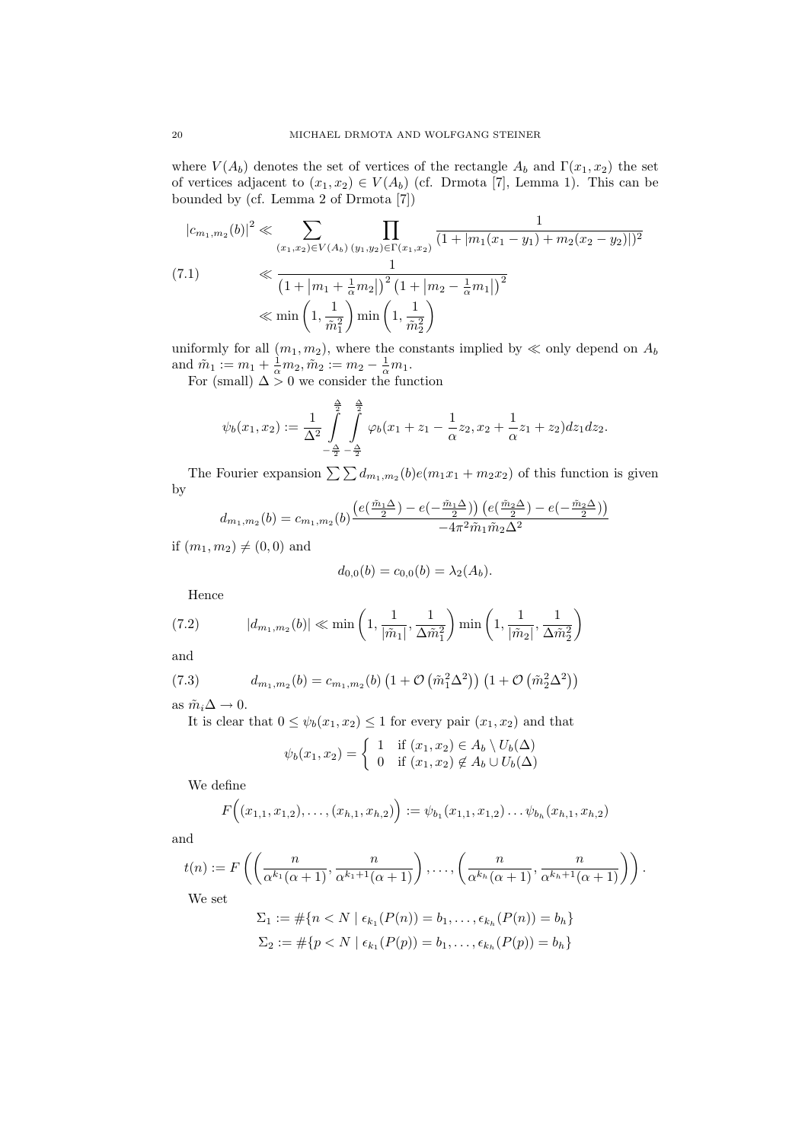where  $V(A_b)$  denotes the set of vertices of the rectangle  $A_b$  and  $\Gamma(x_1, x_2)$  the set of vertices adjacent to  $(x_1, x_2) \in V(A_b)$  (cf. Drmota [7], Lemma 1). This can be bounded by (cf. Lemma 2 of Drmota [7])

$$
|c_{m_1,m_2}(b)|^2 \ll \sum_{(x_1,x_2) \in V(A_b)} \prod_{(y_1,y_2) \in \Gamma(x_1,x_2)} \frac{1}{(1+|m_1(x_1-y_1)+m_2(x_2-y_2)|)^2}
$$
  
(7.1)  

$$
\ll \frac{1}{\left(1+|m_1+\frac{1}{\alpha}m_2|\right)^2 \left(1+|m_2-\frac{1}{\alpha}m_1|\right)^2}
$$
  

$$
\ll \min\left(1,\frac{1}{\tilde{m}_1^2}\right) \min\left(1,\frac{1}{\tilde{m}_2^2}\right)
$$

uniformly for all  $(m_1, m_2)$ , where the constants implied by  $\ll$  only depend on  $A_b$ and  $\tilde{m}_1 := m_1 + \frac{1}{\alpha} m_2, \tilde{m}_2 := m_2 - \frac{1}{\alpha} m_1.$ 

For (small)  $\Delta > 0$  we consider the function

$$
\psi_b(x_1, x_2) := \frac{1}{\Delta^2} \int_{-\frac{\Delta}{2}}^{\frac{\Delta}{2}} \int_{-\frac{\Delta}{2}}^{\frac{\Delta}{2}} \varphi_b(x_1 + z_1 - \frac{1}{\alpha}z_2, x_2 + \frac{1}{\alpha}z_1 + z_2) dz_1 dz_2.
$$

The Fourier expansion  $\sum \sum d_{m_1,m_2}(b)e(m_1x_1 + m_2x_2)$  of this function is given by

$$
d_{m_1,m_2}(b) = c_{m_1,m_2}(b) \frac{\left(e^{\left(\frac{\tilde{m}_1 \Delta}{2}\right)} - e^{\left(-\frac{\tilde{m}_1 \Delta}{2}\right)}\right) \left(e^{\left(\frac{\tilde{m}_2 \Delta}{2}\right)} - e^{\left(-\frac{\tilde{m}_2 \Delta}{2}\right)}\right)}{-4\pi^2 \tilde{m}_1 \tilde{m}_2 \Delta^2}
$$

if  $(m_1, m_2) \neq (0, 0)$  and

$$
d_{0,0}(b) = c_{0,0}(b) = \lambda_2(A_b).
$$

Hence

(7.2) 
$$
|d_{m_1,m_2}(b)| \ll \min\left(1, \frac{1}{|\tilde{m}_1|}, \frac{1}{\Delta \tilde{m}_1^2}\right) \min\left(1, \frac{1}{|\tilde{m}_2|}, \frac{1}{\Delta \tilde{m}_2^2}\right)
$$

and

(7.3) 
$$
d_{m_1,m_2}(b) = c_{m_1,m_2}(b) \left(1 + \mathcal{O}\left(\tilde{m}_1^2 \Delta^2\right)\right) \left(1 + \mathcal{O}\left(\tilde{m}_2^2 \Delta^2\right)\right)
$$

as  $\tilde{m}_i\Delta\rightarrow 0.$ 

It is clear that  $0 \leq \psi_b(x_1, x_2) \leq 1$  for every pair  $(x_1, x_2)$  and that

$$
\psi_b(x_1, x_2) = \begin{cases} 1 & \text{if } (x_1, x_2) \in A_b \setminus U_b(\Delta) \\ 0 & \text{if } (x_1, x_2) \notin A_b \cup U_b(\Delta) \end{cases}
$$

We define

$$
F\Big((x_{1,1},x_{1,2}),\ldots,(x_{h,1},x_{h,2})\Big):=\psi_{b_1}(x_{1,1},x_{1,2})\ldots\psi_{b_h}(x_{h,1},x_{h,2})
$$

and

$$
t(n) := F\left(\left(\frac{n}{\alpha^{k_1}(\alpha+1)}, \frac{n}{\alpha^{k_1+1}(\alpha+1)}\right), \dots, \left(\frac{n}{\alpha^{k_h}(\alpha+1)}, \frac{n}{\alpha^{k_h+1}(\alpha+1)}\right)\right).
$$
  
We set

$$
\Sigma_1 := \#\{n < N \mid \epsilon_{k_1}(P(n)) = b_1, \dots, \epsilon_{k_h}(P(n)) = b_h\}
$$
\n
$$
\Sigma_2 := \#\{p < N \mid \epsilon_{k_1}(P(p)) = b_1, \dots, \epsilon_{k_h}(P(p)) = b_h\}
$$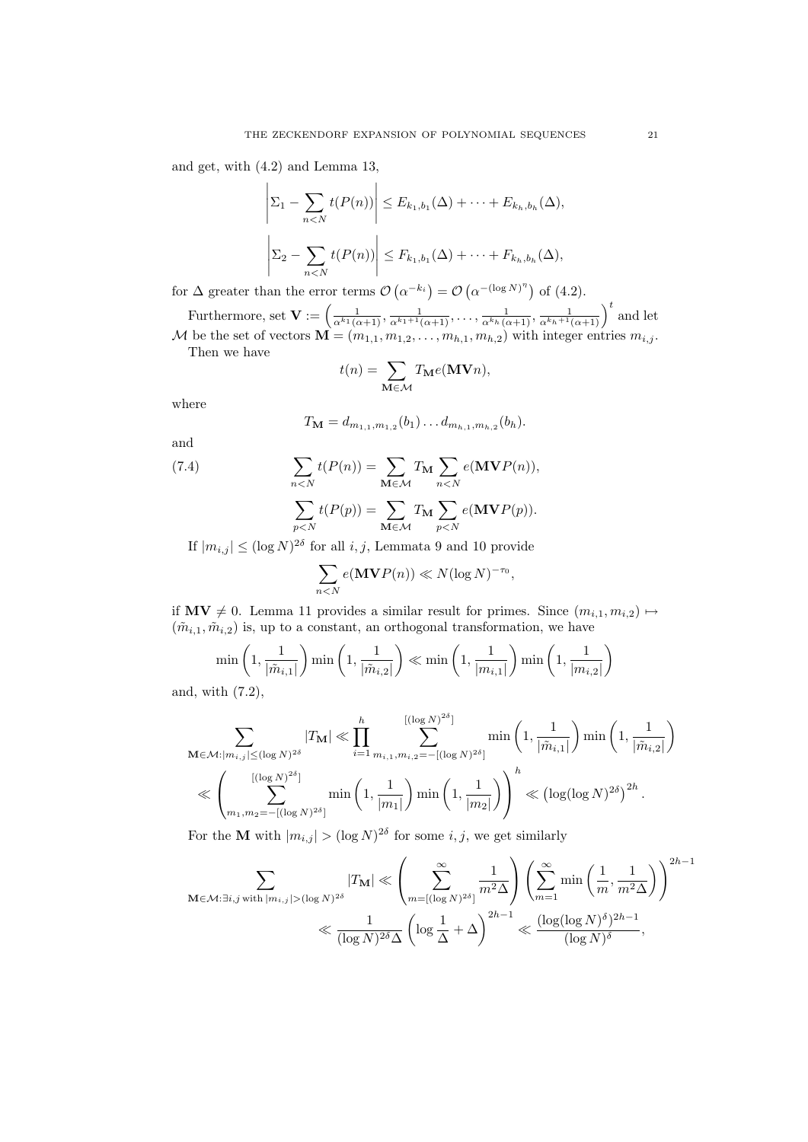and get, with (4.2) and Lemma 13,

$$
\left|\Sigma_1 - \sum_{n < N} t(P(n))\right| \leq E_{k_1, b_1}(\Delta) + \dots + E_{k_h, b_h}(\Delta),
$$
\n
$$
\left|\Sigma_2 - \sum_{n < N} t(P(n))\right| \leq F_{k_1, b_1}(\Delta) + \dots + F_{k_h, b_h}(\Delta),
$$

for  $\Delta$  greater than the error terms  $\mathcal{O}\left(\alpha^{-k_i}\right) = \mathcal{O}\left(\alpha^{-(\log N)^{\eta}}\right)$  of (4.2).

Furthermore, set  $\mathbf{V} := \left(\frac{1}{\alpha^{k_1}(\alpha+1)}, \frac{1}{\alpha^{k_1+1}(\alpha+1)}, \ldots, \frac{1}{\alpha^{k_h}(\alpha+1)}, \frac{1}{\alpha^{k_h+1}(\alpha+1)}\right)^t$  and let M be the set of vectors  $\mathbf{M} = (m_{1,1}, m_{1,2}, \ldots, m_{h,1}, m_{h,2})$  with integer entries  $m_{i,j}$ . Then we have

$$
t(n) = \sum_{\mathbf{M} \in \mathcal{M}} T_{\mathbf{M}} e(\mathbf{M} \mathbf{V} n),
$$

where

$$
T_{\mathbf{M}} = d_{m_{1,1},m_{1,2}}(b_1) \dots d_{m_{h,1},m_{h,2}}(b_h).
$$

and

(7.4) 
$$
\sum_{n
$$

$$
\sum_{p
$$

If  $|m_{i,j}| \leq (\log N)^{2\delta}$  for all  $i, j$ , Lemmata 9 and 10 provide

$$
\sum_{n
$$

if  $\mathbf{MV} \neq 0$ . Lemma 11 provides a similar result for primes. Since  $(m_{i,1}, m_{i,2}) \mapsto$  $(\tilde{m}_{i,1}, \tilde{m}_{i,2})$  is, up to a constant, an orthogonal transformation, we have

$$
\min\left(1, \frac{1}{|\tilde{m}_{i,1}|}\right) \min\left(1, \frac{1}{|\tilde{m}_{i,2}|}\right) \ll \min\left(1, \frac{1}{|m_{i,1}|}\right) \min\left(1, \frac{1}{|m_{i,2}|}\right)
$$

and, with (7.2),

$$
\sum_{\mathbf{M}\in\mathcal{M}:|m_{i,j}|\leq (\log N)^{2\delta}}|T_{\mathbf{M}}|\ll \prod_{i=1}^h \sum_{m_{i,1},m_{i,2}=-[(\log N)^{2\delta}]}^{[(\log N)^{2\delta}]} \min\left(1,\frac{1}{|\tilde{m}_{i,1}|}\right) \min\left(1,\frac{1}{|\tilde{m}_{i,2}|}\right)
$$

$$
\ll \left(\sum_{m_1,m_2=-[(\log N)^{2\delta}]}^{[(\log N)^{2\delta}]} \min\left(1,\frac{1}{|m_1|}\right) \min\left(1,\frac{1}{|m_2|}\right)\right)^h \ll \left(\log(\log N)^{2\delta}\right)^{2h}.
$$

For the **M** with  $|m_{i,j}| > (\log N)^{2\delta}$  for some *i*, *j*, we get similarly

$$
\sum_{\mathbf{M}\in\mathcal{M}:\exists i,j\text{ with }|m_{i,j}|>(\log N)^{2\delta}}|T_{\mathbf{M}}|\ll \left(\sum_{m=[(\log N)^{2\delta}]}^{\infty}\frac{1}{m^2\Delta}\right)\left(\sum_{m=1}^{\infty}\min\left(\frac{1}{m},\frac{1}{m^2\Delta}\right)\right)^{2h-1}
$$

$$
\ll \frac{1}{(\log N)^{2\delta}\Delta}\left(\log\frac{1}{\Delta}+\Delta\right)^{2h-1}\ll \frac{(\log(\log N)^{\delta})^{2h-1}}{(\log N)^{\delta}},
$$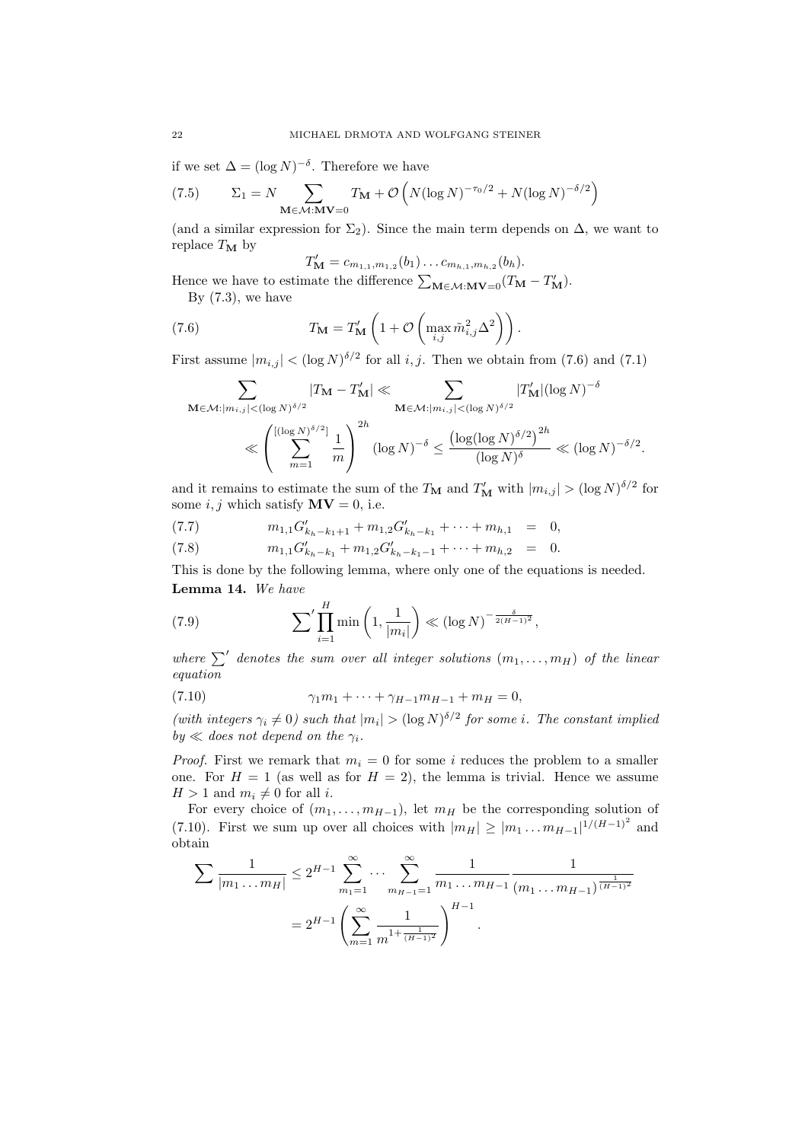if we set  $\Delta = (\log N)^{-\delta}$ . Therefore we have

$$
(7.5) \qquad \Sigma_1 = N \sum_{\mathbf{M} \in \mathcal{M}: \mathbf{M} \mathbf{V} = 0} T_{\mathbf{M}} + \mathcal{O}\left(N(\log N)^{-\tau_0/2} + N(\log N)^{-\delta/2}\right)
$$

(and a similar expression for  $\Sigma_2$ ). Since the main term depends on  $\Delta$ , we want to replace  $T_M$  by

$$
T'_{\mathbf{M}} = c_{m_{1,1},m_{1,2}}(b_1) \dots c_{m_{h,1},m_{h,2}}(b_h).
$$

Hence we have to estimate the difference  $\sum_{\mathbf{M}\in\mathcal{M}:\mathbf{M}\mathbf{V}=0}(T_{\mathbf{M}}-T_{\mathbf{M}}')$ .

By  $(7.3)$ , we have

(7.6) 
$$
T_{\mathbf{M}} = T'_{\mathbf{M}} \left( 1 + \mathcal{O} \left( \max_{i,j} \tilde{m}_{i,j}^2 \Delta^2 \right) \right).
$$

First assume  $|m_{i,j}| < (\log N)^{\delta/2}$  for all i, j. Then we obtain from (7.6) and (7.1)

$$
\sum_{\mathbf{M}\in\mathcal{M}:|m_{i,j}|<(\log N)^{\delta/2}}|T_{\mathbf{M}}-T'_{\mathbf{M}}|\ll \sum_{\mathbf{M}\in\mathcal{M}:|m_{i,j}|<(\log N)^{\delta/2}}|T'_{\mathbf{M}}|(\log N)^{-\delta}
$$

$$
\ll \left(\sum_{m=1}^{[(\log N)^{\delta/2}]} \frac{1}{m}\right)^{2h}(\log N)^{-\delta} \le \frac{(\log(\log N)^{\delta/2})^{2h}}{(\log N)^{\delta}} \ll (\log N)^{-\delta/2}.
$$

and it remains to estimate the sum of the  $T_{\mathbf{M}}$  and  $T'_{\mathbf{M}}$  with  $|m_{i,j}| > (\log N)^{\delta/2}$  for some i, j which satisfy  $MV = 0$ , i.e.

$$
(7.7) \t m_{1,1}G'_{k_h-k_1+1} + m_{1,2}G'_{k_h-k_1} + \cdots + m_{h,1} = 0,
$$

(7.8) 
$$
m_{1,1}G'_{k_h-k_1} + m_{1,2}G'_{k_h-k_1-1} + \cdots + m_{h,2} = 0.
$$

This is done by the following lemma, where only one of the equations is needed. Lemma 14. We have

(7.9) 
$$
\sum' \prod_{i=1}^{H} \min\left(1, \frac{1}{|m_i|}\right) \ll \left(\log N\right)^{-\frac{\delta}{2(H-1)^2}},
$$

where  $\sum'$  denotes the sum over all integer solutions  $(m_1, \ldots, m_H)$  of the linear equation

(7.10) 
$$
\gamma_1 m_1 + \dots + \gamma_{H-1} m_{H-1} + m_H = 0,
$$

(with integers  $\gamma_i \neq 0$ ) such that  $|m_i| > (\log N)^{\delta/2}$  for some i. The constant implied by  $\ll$  does not depend on the  $\gamma_i$ .

*Proof.* First we remark that  $m_i = 0$  for some i reduces the problem to a smaller one. For  $H = 1$  (as well as for  $H = 2$ ), the lemma is trivial. Hence we assume  $H > 1$  and  $m_i \neq 0$  for all i.

For every choice of  $(m_1, \ldots, m_{H-1})$ , let  $m_H$  be the corresponding solution of (7.10). First we sum up over all choices with  $|m_H| \ge |m_1 ... m_{H-1}|^{1/(H-1)^2}$  and obtain

$$
\sum \frac{1}{|m_1 \dots m_H|} \le 2^{H-1} \sum_{m_1=1}^{\infty} \dots \sum_{m_{H-1}=1}^{\infty} \frac{1}{m_1 \dots m_{H-1}} \frac{1}{(m_1 \dots m_{H-1})^{\frac{1}{(H-1)^2}}}
$$
  
=  $2^{H-1} \left( \sum_{m=1}^{\infty} \frac{1}{m^{1+\frac{1}{(H-1)^2}}} \right)^{H-1}$ .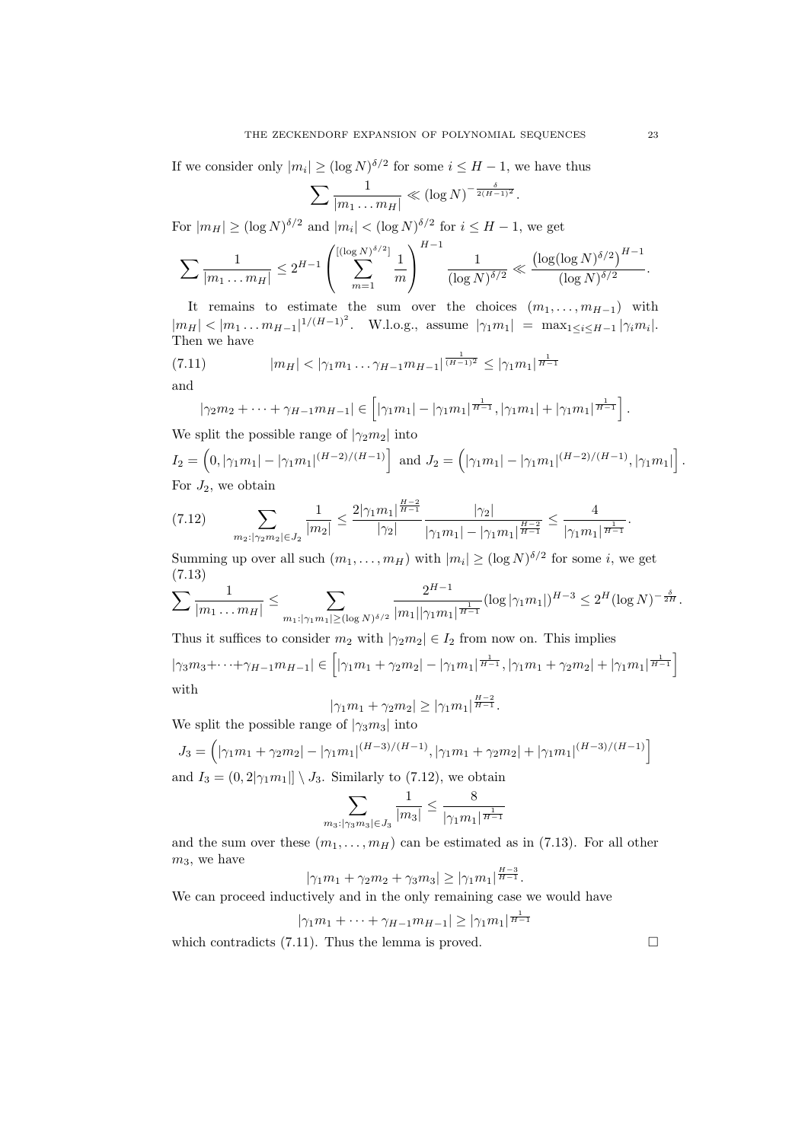If we consider only  $|m_i| \geq (\log N)^{\delta/2}$  for some  $i \leq H - 1$ , we have thus

$$
\sum \frac{1}{|m_1 \dots m_H|} \ll (\log N)^{-\frac{\delta}{2(H-1)^2}}.
$$

For  $|m_H| \ge (\log N)^{\delta/2}$  and  $|m_i| < (\log N)^{\delta/2}$  for  $i \le H - 1$ , we get

$$
\sum \frac{1}{|m_1 \dots m_H|} \leq 2^{H-1} \left( \sum_{m=1}^{\left[ (\log N)^{\delta/2} \right]} \frac{1}{m} \right)^{H-1} \frac{1}{(\log N)^{\delta/2}} \ll \frac{\left( \log (\log N)^{\delta/2} \right)^{H-1}}{(\log N)^{\delta/2}}.
$$

It remains to estimate the sum over the choices  $(m_1, \ldots, m_{H-1})$  with  $|m_H| < |m_1 \dots m_{H-1}|^{1/(H-1)^2}$ . W.l.o.g., assume  $|\gamma_1 m_1| = \max_{1 \le i \le H-1} |\gamma_i m_i|$ . Then we have

(7.11) 
$$
|m_H| < |\gamma_1 m_1 \dots \gamma_{H-1} m_{H-1}|^{\frac{1}{(H-1)^2}} \le |\gamma_1 m_1|^{\frac{1}{H-1}}
$$
 and

$$
|\gamma_2 m_2 + \dots + \gamma_{H-1} m_{H-1}| \in [|\gamma_1 m_1| - |\gamma_1 m_1|^{\frac{1}{H-1}}, |\gamma_1 m_1| + |\gamma_1 m_1|
$$

We split the possible range of  $|\gamma_2 m_2|$  into

$$
I_2 = \left(0, |\gamma_1 m_1| - |\gamma_1 m_1|^{(H-2)/(H-1)}\right) \text{ and } J_2 = \left(|\gamma_1 m_1| - |\gamma_1 m_1|^{(H-2)/(H-1)}, |\gamma_1 m_1|\right].
$$
  
For  $J_2$ , we obtain

$$
(7.12) \qquad \sum_{m_2; |\gamma_2 m_2| \in J_2} \frac{1}{|m_2|} \le \frac{2|\gamma_1 m_1|^{\frac{H-2}{H-1}}}{|\gamma_2|} \frac{|\gamma_2|}{|\gamma_1 m_1| - |\gamma_1 m_1|^{\frac{H-2}{H-1}}} \le \frac{4}{|\gamma_1 m_1|^{\frac{1}{H-1}}}.
$$

Summing up over all such  $(m_1, \ldots, m_H)$  with  $|m_i| \geq (\log N)^{\delta/2}$  for some *i*, we get (7.13)  $\overline{H}$ 

$$
\sum \frac{1}{|m_1 \dots m_H|} \leq \sum_{m_1: |\gamma_1 m_1| \geq (\log N)^{\delta/2}} \frac{2^{H-1}}{|m_1||\gamma_1 m_1|^{\frac{1}{H-1}}} (\log |\gamma_1 m_1|)^{H-3} \leq 2^H (\log N)^{-\frac{\delta}{2H}}.
$$

Thus it suffices to consider  $m_2$  with  $|\gamma_2 m_2| \in I_2$  from now on. This implies  $|\gamma_3 m_3 + \cdots + \gamma_{H-1} m_{H-1}| \in [|\gamma_1 m_1 + \gamma_2 m_2| - |\gamma_1 m_1|^{\frac{1}{H-1}}, |\gamma_1 m_1 + \gamma_2 m_2| + |\gamma_1 m_1|^{\frac{1}{H-1}}]$ with  $H-2$ 

$$
|\gamma_1 m_1 + \gamma_2 m_2| \ge |\gamma_1 m_1|^{\frac{H-2}{H-1}}.
$$

We split the possible range of  $|\gamma_3 m_3|$  into

$$
J_3 = (|\gamma_1 m_1 + \gamma_2 m_2| - |\gamma_1 m_1|^{(H-3)/(H-1)}, |\gamma_1 m_1 + \gamma_2 m_2| + |\gamma_1 m_1|^{(H-3)/(H-1)}]
$$
  
and  $I_3 = (0, 2|\gamma_1 m_1|| \setminus J_3$ . Similarly to (7.12), we obtain

$$
\sum_{m_3: |\gamma_3 m_3| \in J_3} \frac{1}{|m_3|} \le \frac{8}{|\gamma_1 m_1|^{\frac{1}{H-1}}}
$$

and the sum over these  $(m_1, \ldots, m_H)$  can be estimated as in (7.13). For all other  $m_3$ , we have

$$
|\gamma_1 m_1 + \gamma_2 m_2 + \gamma_3 m_3| \ge |\gamma_1 m_1|^{\frac{H-3}{H-1}}.
$$

We can proceed inductively and in the only remaining case we would have

$$
|\gamma_1 m_1 + \dots + \gamma_{H-1} m_{H-1}| \ge |\gamma_1 m_1|^{\frac{1}{H-1}}
$$

which contradicts (7.11). Thus the lemma is proved.  $\square$ 

 $\frac{1}{H-1}$ .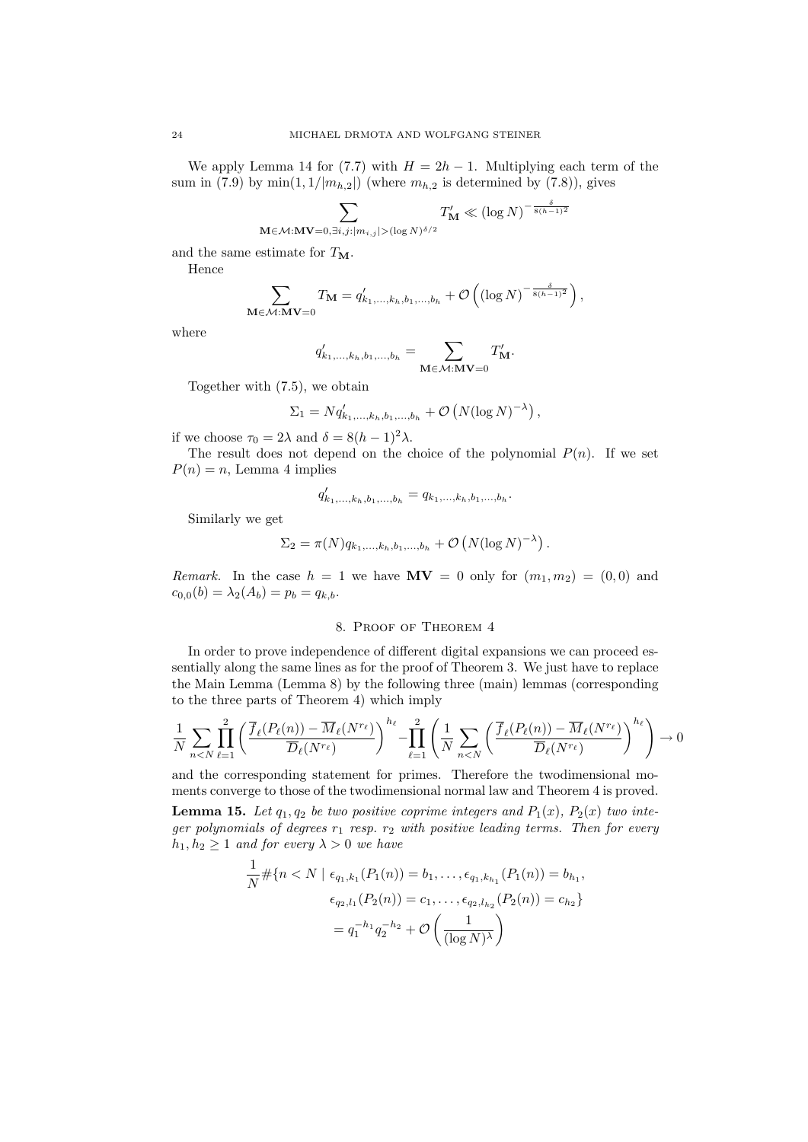We apply Lemma 14 for (7.7) with  $H = 2h - 1$ . Multiplying each term of the sum in (7.9) by  $\min(1, 1/|m_{h,2}|)$  (where  $m_{h,2}$  is determined by (7.8)), gives

$$
\sum_{\mathbf{M}\in\mathcal{M}:\mathbf{M}\mathbf{V}=0,\exists i,j:|m_{i,j}|>(\log N)^{\delta/2}}T'_{\mathbf{M}}\ll\left(\log N\right)^{-\frac{\delta}{8(h-1)^2}}
$$

and the same estimate for  $T_M$ .

Hence

$$
\sum_{\mathbf{M}\in\mathcal{M}:\mathbf{M}\mathbf{V}=0} T_{\mathbf{M}} = q'_{k_1,\dots,k_h,b_1,\dots,b_h} + \mathcal{O}\left( (\log N)^{-\frac{\delta}{8(h-1)^2}} \right),
$$

where

$$
q'_{k_1,\ldots,k_h,b_1,\ldots,b_h} = \sum_{\mathbf{M}\in\mathcal{M}:\mathbf{M}\mathbf{V}=0} T'_{\mathbf{M}}.
$$

Together with (7.5), we obtain

$$
\Sigma_1 = Nq'_{k_1,\dots,k_h,b_1,\dots,b_h} + \mathcal{O}\left(N(\log N)^{-\lambda}\right),
$$

if we choose  $\tau_0 = 2\lambda$  and  $\delta = 8(h-1)^2\lambda$ .

The result does not depend on the choice of the polynomial  $P(n)$ . If we set  $P(n) = n$ , Lemma 4 implies

$$
q'_{k_1,\ldots,k_h,b_1,\ldots,b_h} = q_{k_1,\ldots,k_h,b_1,\ldots,b_h}.
$$

Similarly we get

$$
\Sigma_2 = \pi(N) q_{k_1,...,k_h,b_1,...,b_h} + \mathcal{O}\left(N(\log N)^{-\lambda}\right).
$$

Remark. In the case  $h = 1$  we have  $MV = 0$  only for  $(m_1, m_2) = (0, 0)$  and  $c_{0,0}(b) = \lambda_2(A_b) = p_b = q_{k,b}.$ 

### 8. Proof of Theorem 4

In order to prove independence of different digital expansions we can proceed essentially along the same lines as for the proof of Theorem 3. We just have to replace the Main Lemma (Lemma 8) by the following three (main) lemmas (corresponding to the three parts of Theorem 4) which imply

$$
\frac{1}{N} \sum_{n < N} \prod_{\ell=1}^{2} \left( \frac{\overline{f}_{\ell}(P_{\ell}(n)) - \overline{M}_{\ell}(N^{r_{\ell}})}{\overline{D}_{\ell}(N^{r_{\ell}})} \right)^{h_{\ell}} - \prod_{\ell=1}^{2} \left( \frac{1}{N} \sum_{n < N} \left( \frac{\overline{f}_{\ell}(P_{\ell}(n)) - \overline{M}_{\ell}(N^{r_{\ell}})}{\overline{D}_{\ell}(N^{r_{\ell}})} \right)^{h_{\ell}} \right) \to 0
$$

and the corresponding statement for primes. Therefore the twodimensional moments converge to those of the twodimensional normal law and Theorem 4 is proved.

**Lemma 15.** Let  $q_1, q_2$  be two positive coprime integers and  $P_1(x)$ ,  $P_2(x)$  two integer polynomials of degrees  $r_1$  resp.  $r_2$  with positive leading terms. Then for every  $h_1, h_2 \geq 1$  and for every  $\lambda > 0$  we have

$$
\frac{1}{N} \# \{ n < N \mid \epsilon_{q_1,k_1}(P_1(n)) = b_1, \dots, \epsilon_{q_1,k_{h_1}}(P_1(n)) = b_{h_1}, \quad \epsilon_{q_2,l_1}(P_2(n)) = c_1, \dots, \epsilon_{q_2,l_{h_2}}(P_2(n)) = c_{h_2} \}
$$
\n
$$
= q_1^{-h_1} q_2^{-h_2} + \mathcal{O}\left(\frac{1}{(\log N)^\lambda}\right)
$$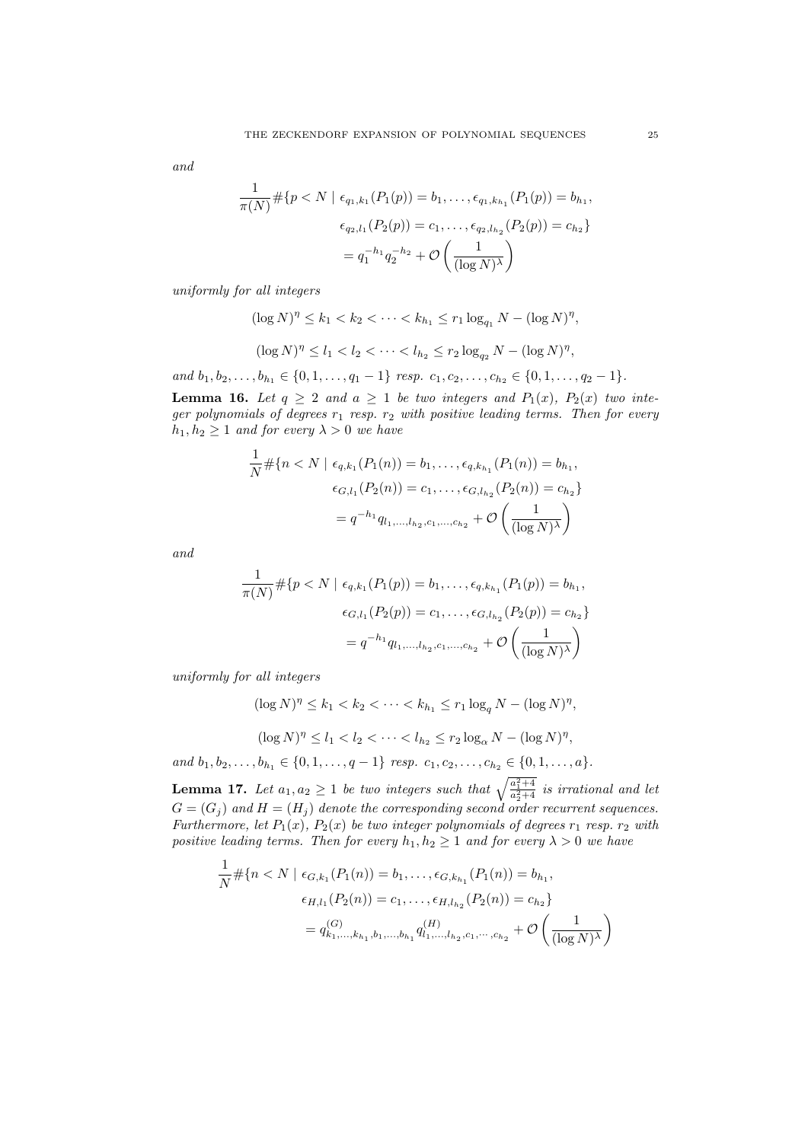and

$$
\frac{1}{\pi(N)} \# \{ p < N \mid \epsilon_{q_1,k_1}(P_1(p)) = b_1, \dots, \epsilon_{q_1,k_{h_1}}(P_1(p)) = b_{h_1},
$$
\n
$$
\epsilon_{q_2,l_1}(P_2(p)) = c_1, \dots, \epsilon_{q_2,l_{h_2}}(P_2(p)) = c_{h_2} \}
$$
\n
$$
= q_1^{-h_1} q_2^{-h_2} + \mathcal{O}\left(\frac{1}{(\log N)^\lambda}\right)
$$

uniformly for all integers

$$
(\log N)^{\eta} \le k_1 < k_2 < \dots < k_{h_1} \le r_1 \log_{q_1} N - (\log N)^{\eta},
$$
\n
$$
(\log N)^{\eta} \le l_1 < l_2 < \dots < l_{h_2} \le r_2 \log_{q_2} N - (\log N)^{\eta},
$$

and 
$$
b_1, b_2, \ldots, b_{h_1} \in \{0, 1, \ldots, q_1 - 1\}
$$
 resp.  $c_1, c_2, \ldots, c_{h_2} \in \{0, 1, \ldots, q_2 - 1\}$ .

**Lemma 16.** Let  $q \ge 2$  and  $a \ge 1$  be two integers and  $P_1(x)$ ,  $P_2(x)$  two integer polynomials of degrees  $r_1$  resp.  $r_2$  with positive leading terms. Then for every  $h_1, h_2 \geq 1$  and for every  $\lambda > 0$  we have

$$
\frac{1}{N} \# \{ n < N \mid \epsilon_{q,k_1}(P_1(n)) = b_1, \dots, \epsilon_{q,k_{h_1}}(P_1(n)) = b_{h_1},
$$
\n
$$
\epsilon_{G,l_1}(P_2(n)) = c_1, \dots, \epsilon_{G,l_{h_2}}(P_2(n)) = c_{h_2} \}
$$
\n
$$
= q^{-h_1} q_{l_1, \dots, l_{h_2}, c_1, \dots, c_{h_2}} + \mathcal{O}\left(\frac{1}{(\log N)^\lambda}\right)
$$

and

$$
\frac{1}{\pi(N)} \# \{ p < N \mid \epsilon_{q,k_1}(P_1(p)) = b_1, \dots, \epsilon_{q,k_{h_1}}(P_1(p)) = b_{h_1},
$$
\n
$$
\epsilon_{G,l_1}(P_2(p)) = c_1, \dots, \epsilon_{G,l_{h_2}}(P_2(p)) = c_{h_2} \}
$$
\n
$$
= q^{-h_1} q_{l_1, \dots, l_{h_2}, c_1, \dots, c_{h_2}} + \mathcal{O}\left(\frac{1}{(\log N)^\lambda}\right)
$$

uniformly for all integers

1

 $(\log N)^{\eta} \leq k_1 < k_2 < \cdots < k_{h_1} \leq r_1 \log_q N - (\log N)^{\eta},$ 

 $(\log N)^{\eta} \le l_1 < l_2 < \cdots < l_{h_2} \le r_2 \log_{\alpha} N - (\log N)^{\eta},$ 

and  $b_1, b_2, \ldots, b_{h_1} \in \{0, 1, \ldots, q-1\}$  resp.  $c_1, c_2, \ldots, c_{h_2} \in \{0, 1, \ldots, a\}.$ 

**Lemma 17.** Let  $a_1, a_2 \geq 1$  be two integers such that  $\sqrt{\frac{a_1^2+4}{a_2^2+4}}$  is irrational and let  $G = (G_i)$  and  $H = (H_i)$  denote the corresponding second order recurrent sequences. Furthermore, let  $P_1(x)$ ,  $P_2(x)$  be two integer polynomials of degrees  $r_1$  resp.  $r_2$  with positive leading terms. Then for every  $h_1, h_2 \geq 1$  and for every  $\lambda > 0$  we have

$$
\frac{1}{N} \# \{ n < N \mid \epsilon_{G,k_1}(P_1(n)) = b_1, \dots, \epsilon_{G,k_{h_1}}(P_1(n)) = b_{h_1},
$$
\n
$$
\epsilon_{H,l_1}(P_2(n)) = c_1, \dots, \epsilon_{H,l_{h_2}}(P_2(n)) = c_{h_2} \}
$$
\n
$$
= q_{k_1,\dots,k_{h_1},b_1,\dots,b_{h_1}}^{(G)} q_{l_1,\dots,l_{h_2},c_1,\dots,c_{h_2}}^{(H)} + \mathcal{O}\left(\frac{1}{(\log N)^{\lambda}}\right)
$$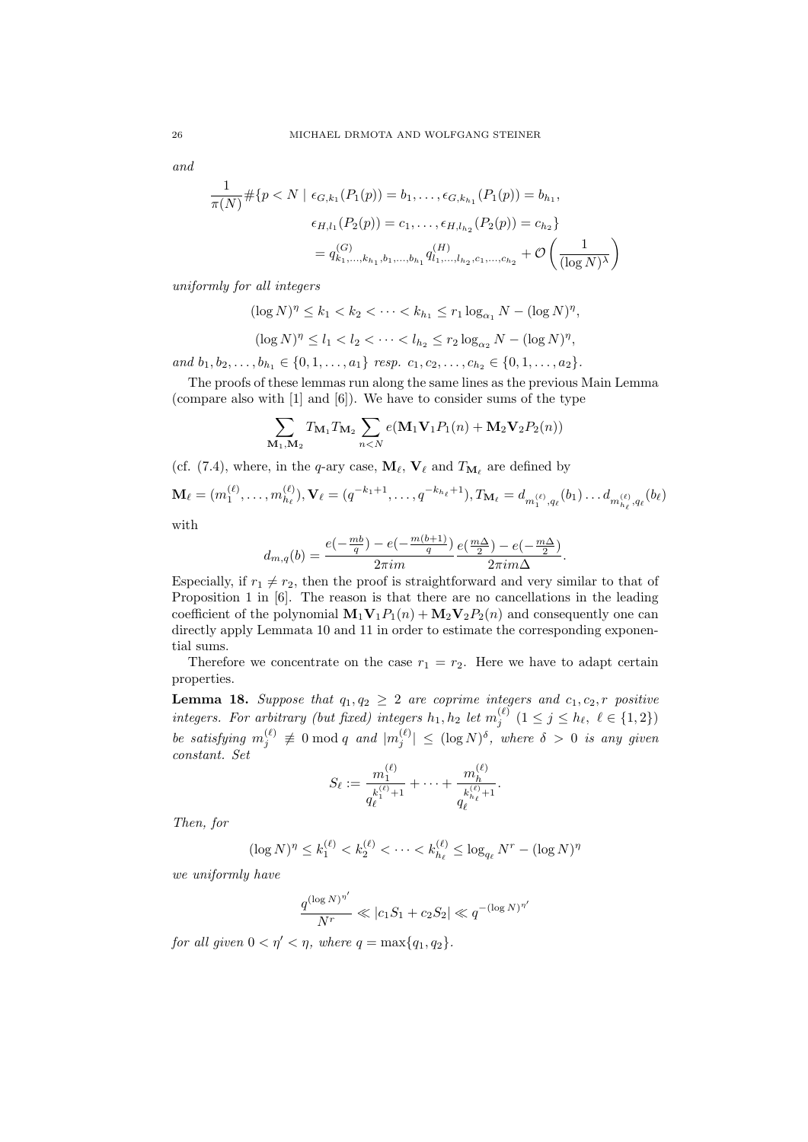and

$$
\frac{1}{\pi(N)} \# \{ p < N \mid \epsilon_{G,k_1}(P_1(p)) = b_1, \dots, \epsilon_{G,k_{h_1}}(P_1(p)) = b_{h_1},
$$
\n
$$
\epsilon_{H,l_1}(P_2(p)) = c_1, \dots, \epsilon_{H,l_{h_2}}(P_2(p)) = c_{h_2} \}
$$
\n
$$
= q_{k_1,\dots,k_{h_1},b_1,\dots,b_{h_1}}^{(G)} q_{l_1,\dots,l_{h_2},c_1,\dots,c_{h_2}}^{(H)} + \mathcal{O}\left(\frac{1}{(\log N)^{\lambda}}\right)
$$

uniformly for all integers

1

$$
(\log N)^{\eta} \le k_1 < k_2 < \cdots < k_{h_1} \le r_1 \log_{\alpha_1} N - (\log N)^{\eta},
$$

$$
(\log N)^{\eta} \le l_1 < l_2 < \dots < l_{h_2} \le r_2 \log_{\alpha_2} N - (\log N)^{\eta},
$$

and  $b_1, b_2, \ldots, b_{h_1} \in \{0, 1, \ldots, a_1\}$  resp.  $c_1, c_2, \ldots, c_{h_2} \in \{0, 1, \ldots, a_2\}.$ 

The proofs of these lemmas run along the same lines as the previous Main Lemma (compare also with [1] and [6]). We have to consider sums of the type

$$
\sum_{\mathbf{M}_1,\mathbf{M}_2} T_{\mathbf{M}_1} T_{\mathbf{M}_2} \sum_{n < N} e(\mathbf{M}_1 \mathbf{V}_1 P_1(n) + \mathbf{M}_2 \mathbf{V}_2 P_2(n))
$$

(cf. (7.4), where, in the q-ary case,  $\mathbf{M}_{\ell}$ ,  $\mathbf{V}_{\ell}$  and  $T_{\mathbf{M}_{\ell}}$  are defined by

$$
\mathbf{M}_{\ell} = (m_1^{(\ell)}, \dots, m_{h_{\ell}}^{(\ell)}), \mathbf{V}_{\ell} = (q^{-k_1+1}, \dots, q^{-k_{h_{\ell}}+1}), T_{\mathbf{M}_{\ell}} = d_{m_1^{(\ell)}, q_{\ell}}(b_1) \dots d_{m_{h_{\ell}}^{(\ell)}, q_{\ell}}(b_{\ell})
$$

with

$$
d_{m,q}(b) = \frac{e(-\frac{mb}{q}) - e(-\frac{m(b+1)}{q})}{2\pi im} \frac{e(\frac{m\Delta}{2}) - e(-\frac{m\Delta}{2})}{2\pi im\Delta}.
$$

Especially, if  $r_1 \neq r_2$ , then the proof is straightforward and very similar to that of Proposition 1 in [6]. The reason is that there are no cancellations in the leading coefficient of the polynomial  $\mathbf{M}_1 \mathbf{V}_1 P_1(n) + \mathbf{M}_2 \mathbf{V}_2 P_2(n)$  and consequently one can directly apply Lemmata 10 and 11 in order to estimate the corresponding exponential sums.

Therefore we concentrate on the case  $r_1 = r_2$ . Here we have to adapt certain properties.

**Lemma 18.** Suppose that  $q_1, q_2 \geq 2$  are coprime integers and  $c_1, c_2, r$  positive integers. For arbitrary (but fixed) integers  $h_1, h_2$  let  $m_j^{(\ell)}$   $(1 \le j \le h_\ell, \ell \in \{1, 2\})$ be satisfying  $m_j^{(\ell)} \neq 0 \mod q$  and  $|m_j^{(\ell)}| \leq (\log N)^{\delta}$ , where  $\delta > 0$  is any given constant. Set

$$
S_{\ell} := \frac{m_1^{(\ell)}}{q_{\ell}^{k_1^{(\ell)}+1}} + \cdots + \frac{m_h^{(\ell)}}{q_{\ell}^{k_{h_{\ell}}^{(\ell)}+1}}.
$$

Then, for

$$
(\log N)^{\eta} \le k_1^{(\ell)} < k_2^{(\ell)} < \cdots < k_{h_\ell}^{(\ell)} \le \log_{q_\ell} N^r - (\log N)^{\eta}
$$

we uniformly have

$$
\frac{q^{(\log N)^{\eta'}}}{N^r} \ll |c_1S_1 + c_2S_2| \ll q^{-(\log N)^{\eta'}}
$$

for all given  $0 < \eta' < \eta$ , where  $q = \max\{q_1, q_2\}$ .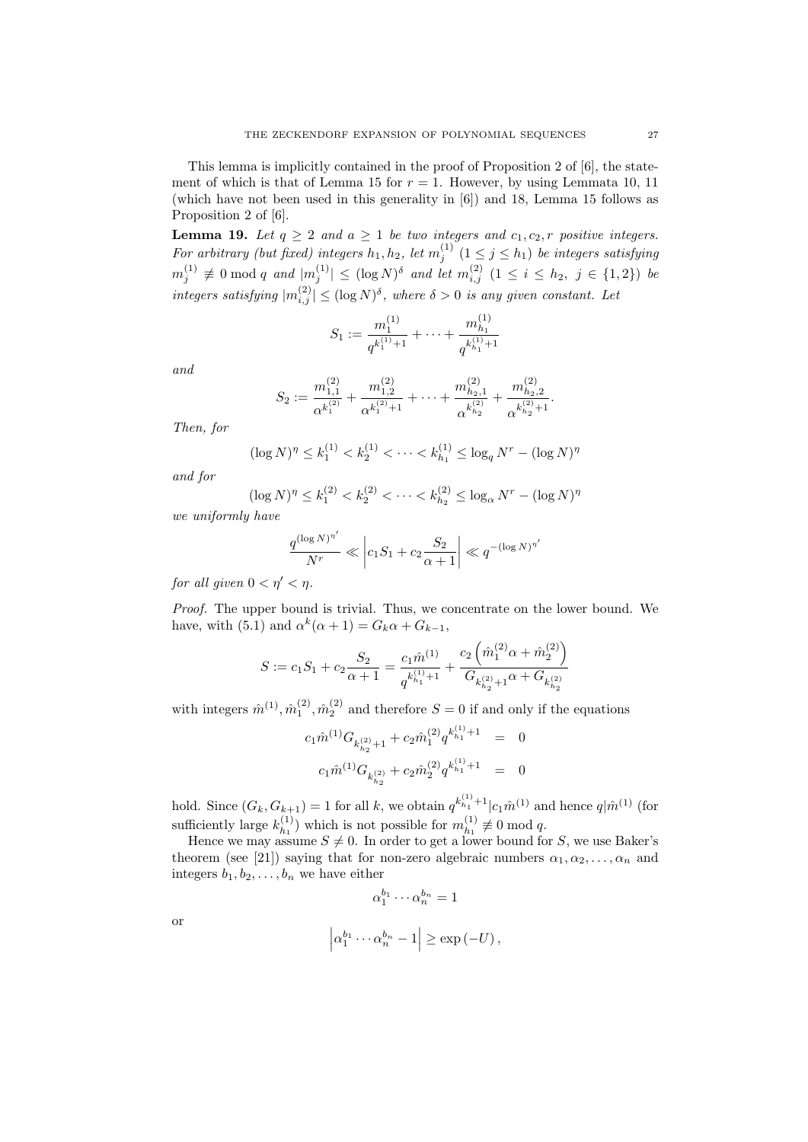This lemma is implicitly contained in the proof of Proposition 2 of [6], the statement of which is that of Lemma 15 for  $r = 1$ . However, by using Lemmata 10, 11 (which have not been used in this generality in [6]) and 18, Lemma 15 follows as Proposition 2 of [6].

**Lemma 19.** Let  $q \ge 2$  and  $a \ge 1$  be two integers and  $c_1, c_2, r$  positive integers. For arbitrary (but fixed) integers  $h_1, h_2$ , let  $m_j^{(1)}$   $(1 \leq j \leq h_1)$  be integers satisfying  $m_j^{(1)} \not\equiv 0 \bmod q$  and  $|m_j^{(1)}| \leq (\log N)^\delta$  and let  $m_{i,j}^{(2)}$   $(1 \leq i \leq h_2, j \in \{1,2\})$  be integers satisfying  $|m_{i,j}^{(2)}| \leq (\log N)^{\delta}$ , where  $\delta > 0$  is any given constant. Let

$$
S_1 := \frac{m_1^{(1)}}{q^{k_1^{(1)}+1}} + \dots + \frac{m_{h_1}^{(1)}}{q^{k_{h_1}^{(1)}+1}}
$$

and

$$
S_2 := \frac{m_{1,1}^{(2)}}{\alpha^{k_1^{(2)}}} + \frac{m_{1,2}^{(2)}}{\alpha^{k_1^{(2)}+1}} + \dots + \frac{m_{h_2,1}^{(2)}}{\alpha^{k_{h_2}^{(2)}}} + \frac{m_{h_2,2}^{(2)}}{\alpha^{k_{h_2}^{(2)}+1}}
$$

.

Then, for

$$
(\log N)^{\eta} \le k_1^{(1)} < k_2^{(1)} < \cdots < k_{h_1}^{(1)} \le \log_q N^r - (\log N)^{\eta}
$$

and for

$$
(\log N)^{\eta} \le k_1^{(2)} < k_2^{(2)} < \dots < k_{h_2}^{(2)} \le \log_{\alpha} N^r - (\log N)^{\eta}
$$

we uniformly have

$$
\frac{q^{(\log N)^{\eta'}}}{N^r} \ll \left| c_1 S_1 + c_2 \frac{S_2}{\alpha+1} \right| \ll q^{-(\log N)^{\eta'}}
$$

for all given  $0 < \eta' < \eta$ .

Proof. The upper bound is trivial. Thus, we concentrate on the lower bound. We have, with (5.1) and  $\alpha^{k}(\alpha+1) = G_{k}\alpha + G_{k-1}$ ,

$$
S:=c_1 S_1 + c_2 \frac{S_2}{\alpha+1} = \frac{c_1 \hat{m}^{(1)}}{q^{k_{h_1}^{(1)}+1}} + \frac{c_2 \left(\hat{m}_1^{(2)} \alpha + \hat{m}_2^{(2)}\right)}{G_{k_{h_2}^{(2)}+1} \alpha + G_{k_{h_2}^{(2)}}}
$$

with integers  $\hat{m}^{(1)}$ ,  $\hat{m}^{(2)}_1$ ,  $\hat{m}^{(2)}_2$  and therefore  $S=0$  if and only if the equations

$$
\begin{array}{rcl}c_1 \hat m^{(1)} G_{k_{h_2}^{(2)}+1} + c_2 \hat m^{(2)}_1 q^{k_{h_1}^{(1)}+1} & = & 0\\c_1 \hat m^{(1)} G_{k_{h_2}^{(2)}} + c_2 \hat m^{(2)}_2 q^{k_{h_1}^{(1)}+1} & = & 0\end{array}
$$

hold. Since  $(G_k, G_{k+1}) = 1$  for all k, we obtain  $q^{k_{h_1}^{(1)}+1} | c_1 \hat{m}^{(1)}$  and hence  $q | \hat{m}^{(1)}$  (for sufficiently large  $k_{h_1}^{(1)}$  $\binom{1}{h_1}$  which is not possible for  $m_{h_1}^{(1)}$  $\binom{1}{h_1} \not\equiv 0 \mod q.$ 

Hence we may assume  $S \neq 0$ . In order to get a lower bound for S, we use Baker's theorem (see [21]) saying that for non-zero algebraic numbers  $\alpha_1, \alpha_2, \ldots, \alpha_n$  and integers  $b_1, b_2, \ldots, b_n$  we have either

$$
\alpha_1^{b_1} \cdots \alpha_n^{b_n} = 1
$$
  

$$
\left| \alpha_1^{b_1} \cdots \alpha_n^{b_n} - 1 \right| \ge \exp(-U),
$$

or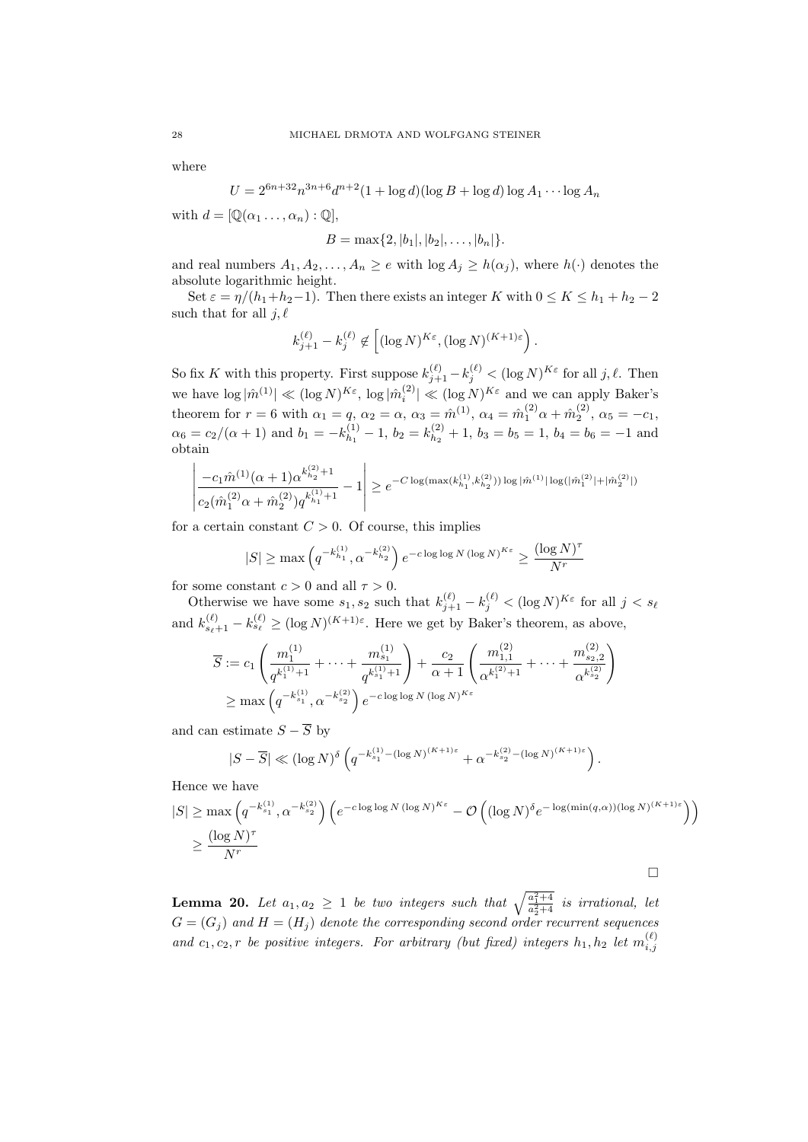where

$$
U = 2^{6n+32}n^{3n+6}d^{n+2}(1+\log d)(\log B + \log d)\log A_1 \cdots \log A_n
$$

with  $d = [\mathbb{Q}(\alpha_1 \dots, \alpha_n) : \mathbb{Q}],$ 

$$
B = \max\{2, |b_1|, |b_2|, \ldots, |b_n|\}.
$$

and real numbers  $A_1, A_2, \ldots, A_n \geq e$  with  $\log A_i \geq h(\alpha_i)$ , where  $h(\cdot)$  denotes the absolute logarithmic height.

Set  $\varepsilon = \eta/(h_1+h_2-1)$ . Then there exists an integer K with  $0 \le K \le h_1+h_2-2$ such that for all  $j, \ell$ 

$$
k_{j+1}^{(\ell)} - k_j^{(\ell)} \not\in \left[ (\log N)^{K\varepsilon}, (\log N)^{(K+1)\varepsilon} \right).
$$

So fix K with this property. First suppose  $k_{j+1}^{(\ell)} - k_j^{(\ell)} < (\log N)^{K \varepsilon}$  for all  $j, \ell$ . Then we have  $\log |\hat{m}^{(1)}| \ll (\log N)^{K\varepsilon}$ ,  $\log |\hat{m}^{(2)}_i| \ll (\log N)^{K\varepsilon}$  and we can apply Baker's theorem for  $r = 6$  with  $\alpha_1 = q$ ,  $\alpha_2 = \alpha$ ,  $\alpha_3 = \hat{m}^{(1)}$ ,  $\alpha_4 = \hat{m}^{(2)}_1 \alpha + \hat{m}^{(2)}_2$ ,  $\alpha_5 = -c_1$ ,  $\alpha_6 = c_2/(\alpha + 1)$  and  $b_1 = -k_{h_1}^{(1)}$  $\binom{(1)}{h_1}-1, b_2=k_{h_2}^{(2)}$  $b_2^{(2)} + 1$ ,  $b_3 = b_5 = 1$ ,  $b_4 = b_6 = -1$  and obtain

$$
\left| \frac{-c_1 \hat{m}^{(1)}(\alpha+1) \alpha^{k_{h_2}^{(2)}+1}}{c_2(\hat{m}_1^{(2)} \alpha + \hat{m}_2^{(2)}) q^{k_{h_1}^{(1)}+1}} - 1 \right| \ge e^{-C \log(\max(k_{h_1}^{(1)}, k_{h_2}^{(2)})) \log |\hat{m}^{(1)}| \log(|\hat{m}_1^{(2)}| + |\hat{m}_2^{(2)}|)}
$$

for a certain constant  $C > 0$ . Of course, this implies

$$
|S| \ge \max\left(q^{-k_{h_1}^{(1)}}, \alpha^{-k_{h_2}^{(2)}}\right) e^{-c \log \log N (\log N)^{K\varepsilon}} \ge \frac{(\log N)^\tau}{N^r}
$$

for some constant  $c > 0$  and all  $\tau > 0$ .

Otherwise we have some  $s_1, s_2$  such that  $k_{j+1}^{(\ell)} - k_j^{(\ell)} < (\log N)^{K \varepsilon}$  for all  $j < s_\ell$ and  $k_{s_{\ell}+1}^{(\ell)} - k_{s_{\ell}}^{(\ell)} \ge (\log N)^{(K+1)\varepsilon}$ . Here we get by Baker's theorem, as above,

$$
\overline{S} := c_1 \left( \frac{m_1^{(1)}}{q^{k_1^{(1)}+1}} + \dots + \frac{m_{s_1}^{(1)}}{q^{k_{s_1}^{(1)}+1}} \right) + \frac{c_2}{\alpha+1} \left( \frac{m_{1,1}^{(2)}}{\alpha^{k_1^{(2)}+1}} + \dots + \frac{m_{s_2,2}^{(2)}}{\alpha^{k_{s_2}^{(2)}}} \right)
$$
\n
$$
\geq \max \left( q^{-k_{s_1}^{(1)}}, \alpha^{-k_{s_2}^{(2)}} \right) e^{-c \log \log N (\log N)^{K \varepsilon}}
$$

and can estimate  $S - \overline{S}$  by

$$
|S-\overline{S}| \ll (\log N)^{\delta}\left(q^{-k_{s_1}^{(1)}-(\log N)^{(K+1)\varepsilon}} + \alpha^{-k_{s_2}^{(2)}-(\log N)^{(K+1)\varepsilon}}\right).
$$

Hence we have

$$
|S| \ge \max\left(q^{-k_{s_1}^{(1)}}, \alpha^{-k_{s_2}^{(2)}}\right) \left(e^{-c \log \log N (\log N)^{K\varepsilon}} - \mathcal{O}\left((\log N)^{\delta} e^{-\log(\min(q,\alpha))(\log N)^{(K+1)\varepsilon}}\right)\right)
$$
  

$$
\ge \frac{(\log N)^{\tau}}{N^r}
$$

**Lemma 20.** Let  $a_1, a_2 \geq 1$  be two integers such that  $\sqrt{\frac{a_1^2+4}{a_2^2+4}}$  is irrational, let  $G = (G_j)$  and  $H = (H_j)$  denote the corresponding second order recurrent sequences and  $c_1, c_2, r$  be positive integers. For arbitrary (but fixed) integers  $h_1, h_2$  let  $m_{i,j}^{(\ell)}$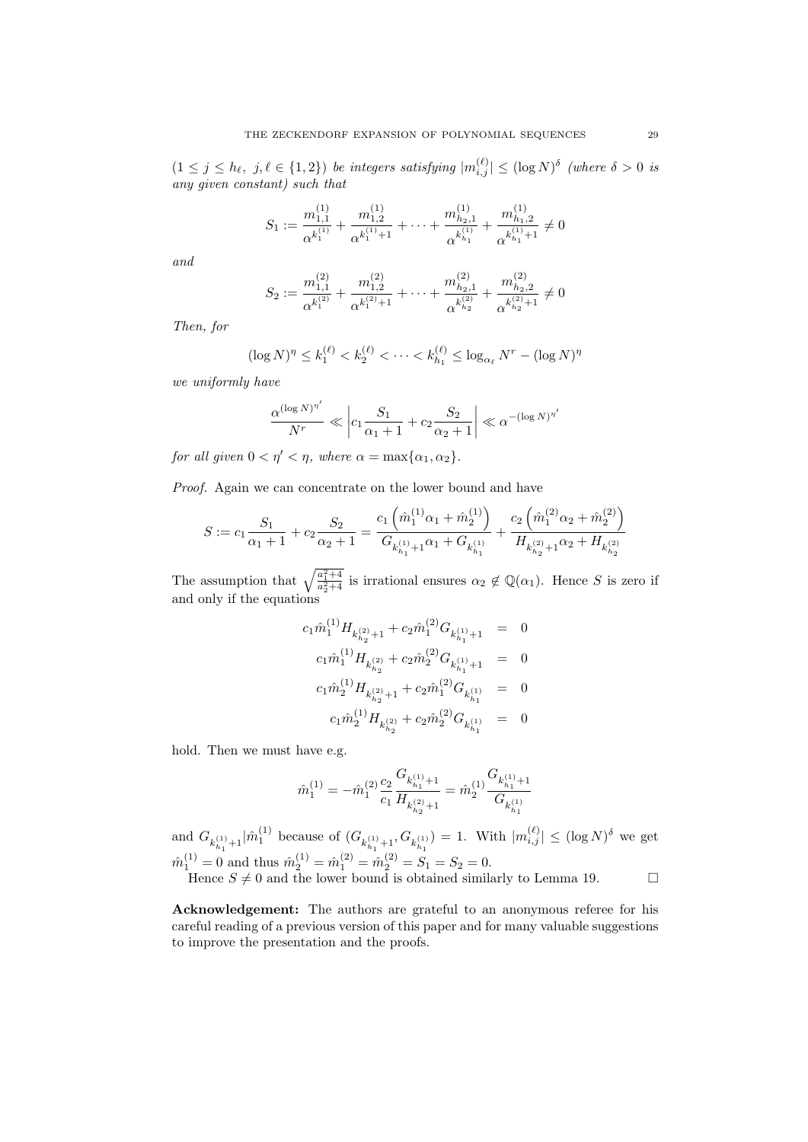$(1 \leq j \leq h_{\ell}, j, \ell \in \{1,2\})$  be integers satisfying  $|m_{i,j}^{(\ell)}| \leq (\log N)^{\delta}$  (where  $\delta > 0$  is any given constant) such that

$$
S_1 := \frac{m_{1,1}^{(1)}}{\alpha^{k_1^{(1)}}} + \frac{m_{1,2}^{(1)}}{\alpha^{k_1^{(1)}+1}} + \dots + \frac{m_{h_2,1}^{(1)}}{\alpha^{k_{h_1}^{(1)}}} + \frac{m_{h_1,2}^{(1)}}{\alpha^{k_{h_1}^{(1)}+1}} \neq 0
$$

and

$$
S_2 := \frac{m_{1,1}^{(2)}}{\alpha^{k_1^{(2)}}} + \frac{m_{1,2}^{(2)}}{\alpha^{k_1^{(2)}+1}} + \dots + \frac{m_{h_2,1}^{(2)}}{\alpha^{k_{h_2}^{(2)}}} + \frac{m_{h_2,2}^{(2)}}{\alpha^{k_{h_2}^{(2)}+1}} \neq 0
$$

Then, for

$$
(\log N)^{\eta} \le k_1^{(\ell)} < k_2^{(\ell)} < \cdots < k_{h_1}^{(\ell)} \le \log_{\alpha_{\ell}} N^r - (\log N)^{\eta}
$$

we uniformly have

$$
\frac{\alpha^{(\log N)^{\eta'}}}{N^r} \ll \left| c_1 \frac{S_1}{\alpha_1 + 1} + c_2 \frac{S_2}{\alpha_2 + 1} \right| \ll \alpha^{-(\log N)^{\eta'}}
$$

for all given  $0 < \eta' < \eta$ , where  $\alpha = \max{\alpha_1, \alpha_2}$ .

Proof. Again we can concentrate on the lower bound and have

$$
S := c_1 \frac{S_1}{\alpha_1 + 1} + c_2 \frac{S_2}{\alpha_2 + 1} = \frac{c_1 \left(\hat{m}_1^{(1)} \alpha_1 + \hat{m}_2^{(1)}\right)}{G_{k_{h_1}^{(1)} + 1} \alpha_1 + G_{k_{h_1}^{(1)}}} + \frac{c_2 \left(\hat{m}_1^{(2)} \alpha_2 + \hat{m}_2^{(2)}\right)}{H_{k_{h_2}^{(2)} + 1} \alpha_2 + H_{k_{h_2}^{(2)}}}
$$

The assumption that  $\sqrt{\frac{a_1^2+4}{a_2^2+4}}$  is irrational ensures  $\alpha_2 \notin \mathbb{Q}(\alpha_1)$ . Hence S is zero if and only if the equations

$$
\begin{array}{rcl}c_1 \hat{m}^{(1)}_1 H_{k^{(2)}_{h_2}+1} + c_2 \hat{m}^{(2)}_1 G_{k^{(1)}_{h_1}+1} & = & 0\\c_1 \hat{m}^{(1)}_1 H_{k^{(2)}_{h_2}} + c_2 \hat{m}^{(2)}_2 G_{k^{(1)}_{h_1}+1} & = & 0\\c_1 \hat{m}^{(1)}_2 H_{k^{(2)}_{h_2}+1} + c_2 \hat{m}^{(2)}_1 G_{k^{(1)}_{h_1}} & = & 0\\c_1 \hat{m}^{(1)}_2 H_{k^{(2)}_{h_2}} + c_2 \hat{m}^{(2)}_2 G_{k^{(1)}_{h_1}} & = & 0\end{array}
$$

hold. Then we must have e.g.

$$
\hat{m}_1^{(1)}=-\hat{m}_1^{(2)}\frac{c_2}{c_1}\frac{G_{k_{h_1}^{(1)}+1}}{H_{k_{h_2}^{(2)}+1}}=\hat{m}_2^{(1)}\frac{G_{k_{h_1}^{(1)}+1}}{G_{k_{h_1}^{(1)}}}
$$

and  $G_{k_{h_1}^{(1)}+1}|\hat{m}_1^{(1)}$  because of  $(G_{k_{h_1}^{(1)}+1}, G_{k_{h_1}^{(1)}}) = 1$ . With  $|m_{i,j}^{(\ell)}| \leq (\log N)^{\delta}$  we get  $\hat{m}_1^{(1)} = 0$  and thus  $\hat{m}_2^{(1)} = \hat{m}_1^{(2)} = \hat{m}_2^{(2)} = S_1 = S_2 = 0.$ Hence  $S \neq 0$  and the lower bound is obtained similarly to Lemma 19.

Acknowledgement: The authors are grateful to an anonymous referee for his careful reading of a previous version of this paper and for many valuable suggestions to improve the presentation and the proofs.